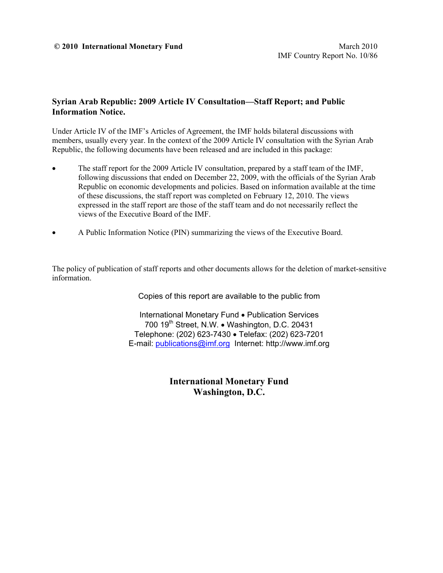### **Syrian Arab Republic: 2009 Article IV Consultation—Staff Report; and Public Information Notice.**

Under Article IV of the IMF's Articles of Agreement, the IMF holds bilateral discussions with members, usually every year. In the context of the 2009 Article IV consultation with the Syrian Arab Republic, the following documents have been released and are included in this package:

- The staff report for the 2009 Article IV consultation, prepared by a staff team of the IMF, following discussions that ended on December 22, 2009, with the officials of the Syrian Arab Republic on economic developments and policies. Based on information available at the time of these discussions, the staff report was completed on February 12, 2010. The views expressed in the staff report are those of the staff team and do not necessarily reflect the views of the Executive Board of the IMF.
- A Public Information Notice (PIN) summarizing the views of the Executive Board.

The policy of publication of staff reports and other documents allows for the deletion of market-sensitive information.

Copies of this report are available to the public from

International Monetary Fund • Publication Services 700 19<sup>th</sup> Street, N.W. • Washington, D.C. 20431 Telephone: (202) 623-7430 Telefax: (202) 623-7201 E-mail: publications@imf.org Internet: http://www.imf.org

> **International Monetary Fund Washington, D.C.**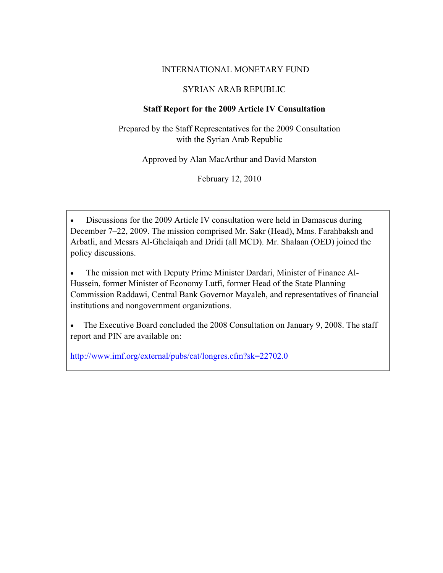## INTERNATIONAL MONETARY FUND

## SYRIAN ARAB REPUBLIC

## **Staff Report for the 2009 Article IV Consultation**

Prepared by the Staff Representatives for the 2009 Consultation with the Syrian Arab Republic

Approved by Alan MacArthur and David Marston

February 12, 2010

 Discussions for the 2009 Article IV consultation were held in Damascus during December 7–22, 2009. The mission comprised Mr. Sakr (Head), Mms. Farahbaksh and Arbatli, and Messrs Al-Ghelaiqah and Dridi (all MCD). Mr. Shalaan (OED) joined the policy discussions.

• The mission met with Deputy Prime Minister Dardari, Minister of Finance Al-Hussein, former Minister of Economy Lutfi, former Head of the State Planning Commission Raddawi, Central Bank Governor Mayaleh, and representatives of financial institutions and nongovernment organizations.

• The Executive Board concluded the 2008 Consultation on January 9, 2008. The staff report and PIN are available on:

http://www.imf.org/external/pubs/cat/longres.cfm?sk=22702.0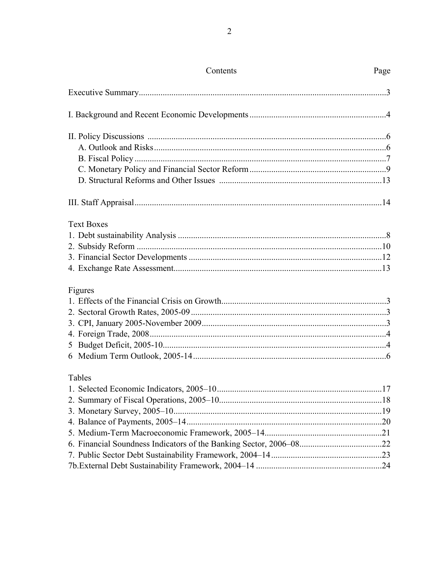| Contents          | Page |
|-------------------|------|
|                   |      |
|                   |      |
|                   |      |
|                   |      |
|                   |      |
|                   |      |
|                   |      |
|                   |      |
| <b>Text Boxes</b> |      |
|                   |      |
|                   |      |
|                   |      |
|                   |      |
| Figures           |      |
|                   |      |
|                   |      |
|                   |      |
|                   |      |
|                   |      |
|                   |      |
| Tables            |      |
|                   |      |
|                   |      |
|                   |      |
|                   |      |
|                   |      |
|                   |      |
|                   |      |
|                   |      |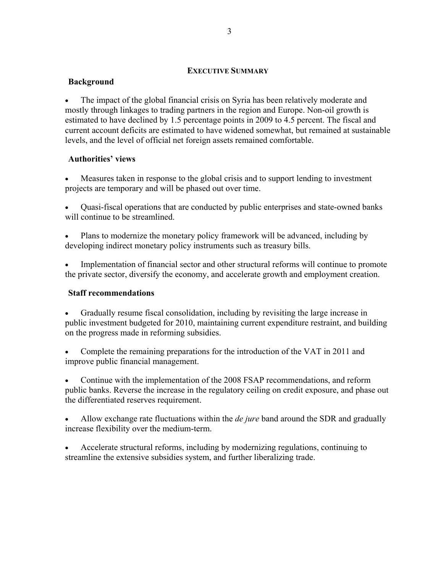#### **EXECUTIVE SUMMARY**

## **Background**

 The impact of the global financial crisis on Syria has been relatively moderate and mostly through linkages to trading partners in the region and Europe. Non-oil growth is estimated to have declined by 1.5 percentage points in 2009 to 4.5 percent. The fiscal and current account deficits are estimated to have widened somewhat, but remained at sustainable levels, and the level of official net foreign assets remained comfortable.

#### **Authorities' views**

 Measures taken in response to the global crisis and to support lending to investment projects are temporary and will be phased out over time.

 Quasi-fiscal operations that are conducted by public enterprises and state-owned banks will continue to be streamlined.

 Plans to modernize the monetary policy framework will be advanced, including by developing indirect monetary policy instruments such as treasury bills.

 Implementation of financial sector and other structural reforms will continue to promote the private sector, diversify the economy, and accelerate growth and employment creation.

#### **Staff recommendations**

 Gradually resume fiscal consolidation, including by revisiting the large increase in public investment budgeted for 2010, maintaining current expenditure restraint, and building on the progress made in reforming subsidies.

 Complete the remaining preparations for the introduction of the VAT in 2011 and improve public financial management.

 Continue with the implementation of the 2008 FSAP recommendations, and reform public banks. Reverse the increase in the regulatory ceiling on credit exposure, and phase out the differentiated reserves requirement.

 Allow exchange rate fluctuations within the *de jure* band around the SDR and gradually increase flexibility over the medium-term.

 Accelerate structural reforms, including by modernizing regulations, continuing to streamline the extensive subsidies system, and further liberalizing trade.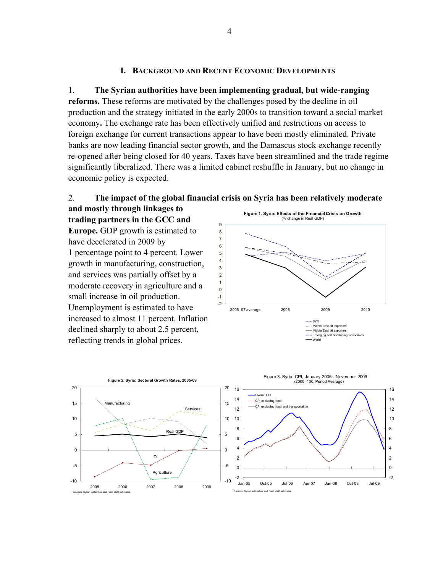#### **I. BACKGROUND AND RECENT ECONOMIC DEVELOPMENTS**

1. **The Syrian authorities have been implementing gradual, but wide-ranging reforms.** These reforms are motivated by the challenges posed by the decline in oil production and the strategy initiated in the early 2000s to transition toward a social market economy**.** The exchange rate has been effectively unified and restrictions on access to foreign exchange for current transactions appear to have been mostly eliminated. Private banks are now leading financial sector growth, and the Damascus stock exchange recently re-opened after being closed for 40 years. Taxes have been streamlined and the trade regime significantly liberalized. There was a limited cabinet reshuffle in January, but no change in economic policy is expected.



**and mostly through linkages to trading partners in the GCC and Europe.** GDP growth is estimated to have decelerated in 2009 by 1 percentage point to 4 percent. Lower growth in manufacturing, construction, and services was partially offset by a moderate recovery in agriculture and a small increase in oil production. Unemployment is estimated to have increased to almost 11 percent. Inflation declined sharply to about 2.5 percent, reflecting trends in global prices.



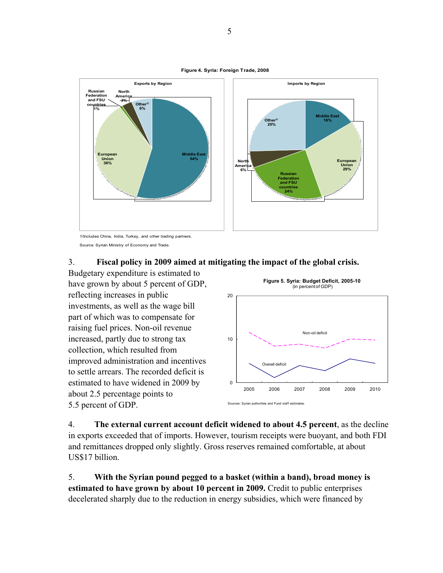



Source: Syrian Ministry of Economy and Trade.



Budgetary expenditure is estimated to have grown by about 5 percent of GDP, reflecting increases in public investments, as well as the wage bill part of which was to compensate for raising fuel prices. Non-oil revenue increased, partly due to strong tax collection, which resulted from improved administration and incentives to settle arrears. The recorded deficit is estimated to have widened in 2009 by about 2.5 percentage points to 5.5 percent of GDP.



4. **The external current account deficit widened to about 4.5 percent**, as the decline in exports exceeded that of imports. However, tourism receipts were buoyant, and both FDI and remittances dropped only slightly. Gross reserves remained comfortable, at about US\$17 billion.

5. **With the Syrian pound pegged to a basket (within a band), broad money is estimated to have grown by about 10 percent in 2009.** Credit to public enterprises decelerated sharply due to the reduction in energy subsidies, which were financed by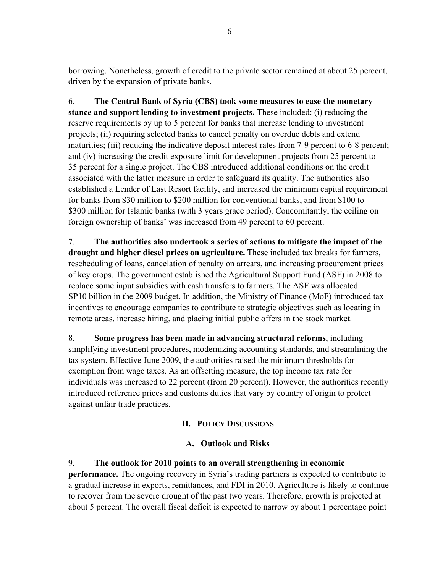borrowing. Nonetheless, growth of credit to the private sector remained at about 25 percent, driven by the expansion of private banks.

6. **The Central Bank of Syria (CBS) took some measures to ease the monetary stance and support lending to investment projects.** These included: (i) reducing the reserve requirements by up to 5 percent for banks that increase lending to investment projects; (ii) requiring selected banks to cancel penalty on overdue debts and extend maturities; (iii) reducing the indicative deposit interest rates from 7-9 percent to 6-8 percent; and (iv) increasing the credit exposure limit for development projects from 25 percent to 35 percent for a single project. The CBS introduced additional conditions on the credit associated with the latter measure in order to safeguard its quality. The authorities also established a Lender of Last Resort facility, and increased the minimum capital requirement for banks from \$30 million to \$200 million for conventional banks, and from \$100 to \$300 million for Islamic banks (with 3 years grace period). Concomitantly, the ceiling on foreign ownership of banks' was increased from 49 percent to 60 percent.

7. **The authorities also undertook a series of actions to mitigate the impact of the drought and higher diesel prices on agriculture.** These included tax breaks for farmers, rescheduling of loans, cancelation of penalty on arrears, and increasing procurement prices of key crops. The government established the Agricultural Support Fund (ASF) in 2008 to replace some input subsidies with cash transfers to farmers. The ASF was allocated SP10 billion in the 2009 budget. In addition, the Ministry of Finance (MoF) introduced tax incentives to encourage companies to contribute to strategic objectives such as locating in remote areas, increase hiring, and placing initial public offers in the stock market.

8. **Some progress has been made in advancing structural reforms**, including simplifying investment procedures, modernizing accounting standards, and streamlining the tax system. Effective June 2009, the authorities raised the minimum thresholds for exemption from wage taxes. As an offsetting measure, the top income tax rate for individuals was increased to 22 percent (from 20 percent). However, the authorities recently introduced reference prices and customs duties that vary by country of origin to protect against unfair trade practices.

# **II. POLICY DISCUSSIONS**

## **A. Outlook and Risks**

9. **The outlook for 2010 points to an overall strengthening in economic performance.** The ongoing recovery in Syria's trading partners is expected to contribute to a gradual increase in exports, remittances, and FDI in 2010. Agriculture is likely to continue to recover from the severe drought of the past two years. Therefore, growth is projected at about 5 percent. The overall fiscal deficit is expected to narrow by about 1 percentage point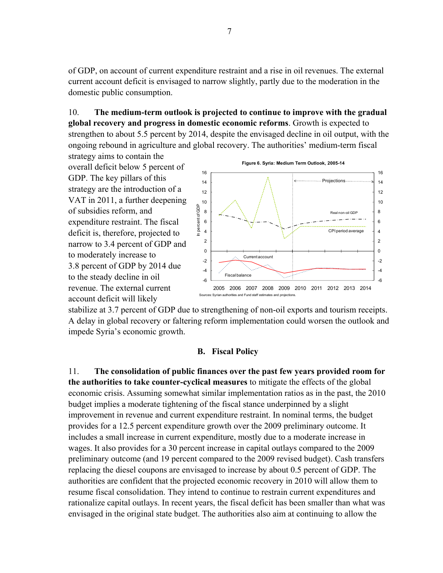of GDP, on account of current expenditure restraint and a rise in oil revenues. The external current account deficit is envisaged to narrow slightly, partly due to the moderation in the domestic public consumption.

10. **The medium-term outlook is projected to continue to improve with the gradual global recovery and progress in domestic economic reforms**. Growth is expected to strengthen to about 5.5 percent by 2014, despite the envisaged decline in oil output, with the ongoing rebound in agriculture and global recovery. The authorities' medium-term fiscal

strategy aims to contain the overall deficit below 5 percent of GDP. The key pillars of this strategy are the introduction of a VAT in 2011, a further deepening of subsidies reform, and expenditure restraint. The fiscal deficit is, therefore, projected to narrow to 3.4 percent of GDP and to moderately increase to 3.8 percent of GDP by 2014 due to the steady decline in oil revenue. The external current account deficit will likely



stabilize at 3.7 percent of GDP due to strengthening of non-oil exports and tourism receipts. A delay in global recovery or faltering reform implementation could worsen the outlook and impede Syria's economic growth.

#### **B. Fiscal Policy**

11. **The consolidation of public finances over the past few years provided room for the authorities to take counter-cyclical measures** to mitigate the effects of the global economic crisis. Assuming somewhat similar implementation ratios as in the past, the 2010 budget implies a moderate tightening of the fiscal stance underpinned by a slight improvement in revenue and current expenditure restraint. In nominal terms, the budget provides for a 12.5 percent expenditure growth over the 2009 preliminary outcome. It includes a small increase in current expenditure, mostly due to a moderate increase in wages. It also provides for a 30 percent increase in capital outlays compared to the 2009 preliminary outcome (and 19 percent compared to the 2009 revised budget). Cash transfers replacing the diesel coupons are envisaged to increase by about 0.5 percent of GDP. The authorities are confident that the projected economic recovery in 2010 will allow them to resume fiscal consolidation. They intend to continue to restrain current expenditures and rationalize capital outlays. In recent years, the fiscal deficit has been smaller than what was envisaged in the original state budget. The authorities also aim at continuing to allow the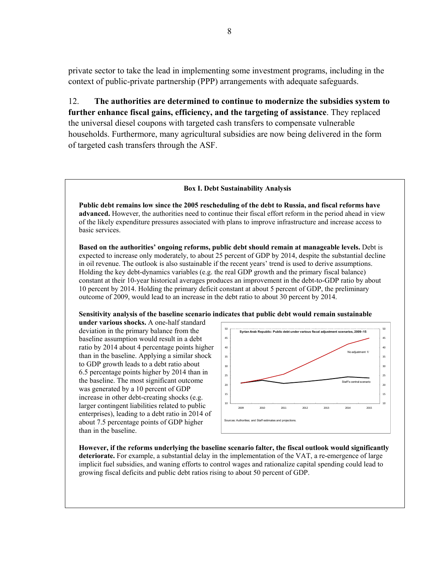private sector to take the lead in implementing some investment programs, including in the context of public-private partnership (PPP) arrangements with adequate safeguards.

12. **The authorities are determined to continue to modernize the subsidies system to further enhance fiscal gains, efficiency, and the targeting of assistance**. They replaced the universal diesel coupons with targeted cash transfers to compensate vulnerable households. Furthermore, many agricultural subsidies are now being delivered in the form of targeted cash transfers through the ASF.

#### **Box I. Debt Sustainability Analysis**

**Public debt remains low since the 2005 rescheduling of the debt to Russia, and fiscal reforms have advanced.** However, the authorities need to continue their fiscal effort reform in the period ahead in view of the likely expenditure pressures associated with plans to improve infrastructure and increase access to basic services.

**Based on the authorities' ongoing reforms, public debt should remain at manageable levels.** Debt is expected to increase only moderately, to about 25 percent of GDP by 2014, despite the substantial decline in oil revenue. The outlook is also sustainable if the recent years' trend is used to derive assumptions. Holding the key debt-dynamics variables (e.g. the real GDP growth and the primary fiscal balance) constant at their 10-year historical averages produces an improvement in the debt-to-GDP ratio by about 10 percent by 2014. Holding the primary deficit constant at about 5 percent of GDP, the preliminary outcome of 2009, would lead to an increase in the debt ratio to about 30 percent by 2014.

**Sensitivity analysis of the baseline scenario indicates that public debt would remain sustainable** 

**under various shocks.** A one-half standard deviation in the primary balance from the baseline assumption would result in a debt ratio by 2014 about 4 percentage points higher than in the baseline. Applying a similar shock to GDP growth leads to a debt ratio about 6.5 percentage points higher by 2014 than in the baseline. The most significant outcome was generated by a 10 percent of GDP increase in other debt-creating shocks (e.g. larger contingent liabilities related to public enterprises), leading to a debt ratio in 2014 of about 7.5 percentage points of GDP higher than in the baseline.



**However, if the reforms underlying the baseline scenario falter, the fiscal outlook would significantly deteriorate.** For example, a substantial delay in the implementation of the VAT, a re-emergence of large implicit fuel subsidies, and waning efforts to control wages and rationalize capital spending could lead to growing fiscal deficits and public debt ratios rising to about 50 percent of GDP.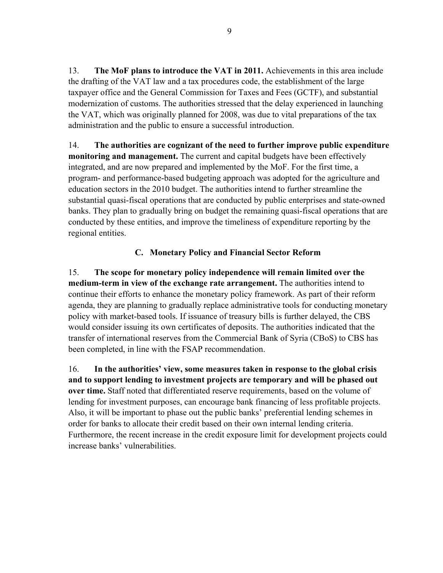13. **The MoF plans to introduce the VAT in 2011.** Achievements in this area include the drafting of the VAT law and a tax procedures code, the establishment of the large taxpayer office and the General Commission for Taxes and Fees (GCTF), and substantial modernization of customs. The authorities stressed that the delay experienced in launching the VAT, which was originally planned for 2008, was due to vital preparations of the tax administration and the public to ensure a successful introduction.

14. **The authorities are cognizant of the need to further improve public expenditure monitoring and management.** The current and capital budgets have been effectively integrated, and are now prepared and implemented by the MoF. For the first time, a program- and performance-based budgeting approach was adopted for the agriculture and education sectors in the 2010 budget. The authorities intend to further streamline the substantial quasi-fiscal operations that are conducted by public enterprises and state-owned banks. They plan to gradually bring on budget the remaining quasi-fiscal operations that are conducted by these entities, and improve the timeliness of expenditure reporting by the regional entities.

# **C. Monetary Policy and Financial Sector Reform**

15. **The scope for monetary policy independence will remain limited over the medium-term in view of the exchange rate arrangement.** The authorities intend to continue their efforts to enhance the monetary policy framework. As part of their reform agenda, they are planning to gradually replace administrative tools for conducting monetary policy with market-based tools. If issuance of treasury bills is further delayed, the CBS would consider issuing its own certificates of deposits. The authorities indicated that the transfer of international reserves from the Commercial Bank of Syria (CBoS) to CBS has been completed, in line with the FSAP recommendation.

16. **In the authorities' view, some measures taken in response to the global crisis and to support lending to investment projects are temporary and will be phased out over time.** Staff noted that differentiated reserve requirements, based on the volume of lending for investment purposes, can encourage bank financing of less profitable projects. Also, it will be important to phase out the public banks' preferential lending schemes in order for banks to allocate their credit based on their own internal lending criteria. Furthermore, the recent increase in the credit exposure limit for development projects could increase banks' vulnerabilities.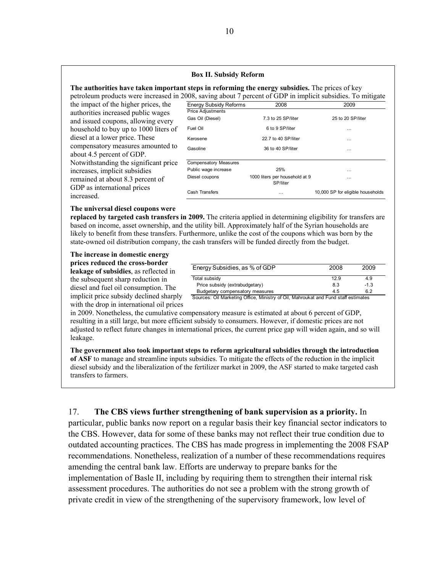#### **Box II. Subsidy Reform**

#### **The authorities have taken important steps in reforming the energy subsidies.** The prices of key

petroleum products were increased in 2

the impact of the higher prices, the authorities increased public wages and issued coupons, allowing every household to buy up to 1000 liters of diesel at a lower price. These compensatory measures amounted to about 4.5 percent of GDP. Notwithstanding the significant price increases, implicit subsidies remained at about 8.3 percent of GDP as international prices increased.

|                               |                                            | 008, saving about 7 percent of GDP in implicit subsidies. To mitigate |
|-------------------------------|--------------------------------------------|-----------------------------------------------------------------------|
| <b>Energy Subsidy Reforms</b> | 2008                                       | 2009                                                                  |
| <b>Price Adjustments</b>      |                                            |                                                                       |
| Gas Oil (Diesel)              | 7.3 to 25 SP/liter                         | 25 to 20 SP/liter                                                     |
| Fuel Oil                      | 6 to 9 SP/liter                            | .                                                                     |
| Kerosene                      | 22.7 to 40 SP/liter                        | .                                                                     |
| Gasoline                      | 36 to 40 SP/liter                          | .                                                                     |
| <b>Compensatory Measures</b>  |                                            |                                                                       |
| Public wage increase          | 25%                                        | .                                                                     |
| Diesel coupons                | 1000 liters per household at 9<br>SP/liter | .                                                                     |
| Cash Transfers                | .                                          | 10,000 SP for eligible households                                     |

#### **The universal diesel coupons were**

**replaced by targeted cash transfers in 2009.** The criteria applied in determining eligibility for transfers are based on income, asset ownership, and the utility bill. Approximately half of the Syrian households are likely to benefit from these transfers. Furthermore, unlike the cost of the coupons which was born by the state-owned oil distribution company, the cash transfers will be funded directly from the budget.

**The increase in domestic energy prices reduced the cross-border leakage of subsidies**, as reflected in the subsequent sharp reduction in diesel and fuel oil consumption. The implicit price subsidy declined sharply with the drop in international oil prices

| Energy Subsidies, as % of GDP   | 2008 | 2009   |
|---------------------------------|------|--------|
| Total subsidy                   | 12.9 | 4.9    |
| Price subsidy (extrabudgetary)  | 8.3  | $-1.3$ |
| Budgetary compensatory measures | 4.5  | 6.2    |

Sources: Oil Marketing Office, Ministry of Oil, Mahroukat and Fund staff estimates

in 2009. Nonetheless, the cumulative compensatory measure is estimated at about 6 percent of GDP, resulting in a still large, but more efficient subsidy to consumers. However, if domestic prices are not adjusted to reflect future changes in international prices, the current price gap will widen again, and so will leakage.

**The government also took important steps to reform agricultural subsidies through the introduction of ASF** to manage and streamline inputs subsidies. To mitigate the effects of the reduction in the implicit diesel subsidy and the liberalization of the fertilizer market in 2009, the ASF started to make targeted cash transfers to farmers.

17. **The CBS views further strengthening of bank supervision as a priority.** In particular, public banks now report on a regular basis their key financial sector indicators to the CBS. However, data for some of these banks may not reflect their true condition due to outdated accounting practices. The CBS has made progress in implementing the 2008 FSAP recommendations. Nonetheless, realization of a number of these recommendations requires amending the central bank law. Efforts are underway to prepare banks for the implementation of Basle II, including by requiring them to strengthen their internal risk assessment procedures. The authorities do not see a problem with the strong growth of private credit in view of the strengthening of the supervisory framework, low level of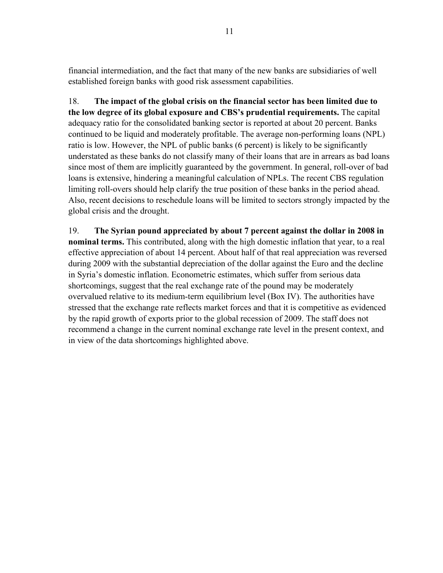financial intermediation, and the fact that many of the new banks are subsidiaries of well established foreign banks with good risk assessment capabilities.

18. **The impact of the global crisis on the financial sector has been limited due to the low degree of its global exposure and CBS's prudential requirements.** The capital adequacy ratio for the consolidated banking sector is reported at about 20 percent. Banks continued to be liquid and moderately profitable. The average non-performing loans (NPL) ratio is low. However, the NPL of public banks (6 percent) is likely to be significantly understated as these banks do not classify many of their loans that are in arrears as bad loans since most of them are implicitly guaranteed by the government. In general, roll-over of bad loans is extensive, hindering a meaningful calculation of NPLs. The recent CBS regulation limiting roll-overs should help clarify the true position of these banks in the period ahead. Also, recent decisions to reschedule loans will be limited to sectors strongly impacted by the global crisis and the drought.

19. **The Syrian pound appreciated by about 7 percent against the dollar in 2008 in nominal terms.** This contributed, along with the high domestic inflation that year, to a real effective appreciation of about 14 percent. About half of that real appreciation was reversed during 2009 with the substantial depreciation of the dollar against the Euro and the decline in Syria's domestic inflation. Econometric estimates, which suffer from serious data shortcomings, suggest that the real exchange rate of the pound may be moderately overvalued relative to its medium-term equilibrium level (Box IV). The authorities have stressed that the exchange rate reflects market forces and that it is competitive as evidenced by the rapid growth of exports prior to the global recession of 2009. The staff does not recommend a change in the current nominal exchange rate level in the present context, and in view of the data shortcomings highlighted above.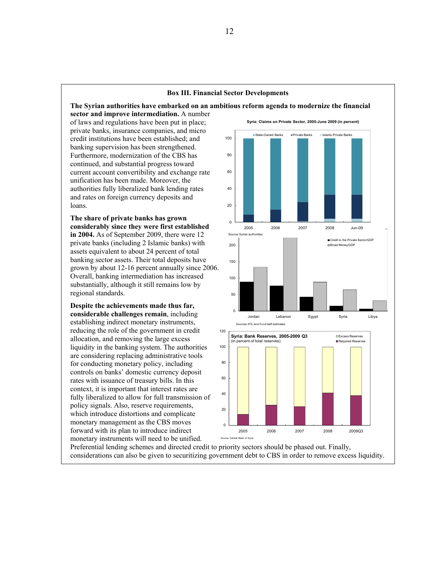#### **Box III. Financial Sector Developments**

**The Syrian authorities have embarked on an ambitious reform agenda to modernize the financial sector and improve intermediation.** A number of laws and regulations have been put in place; private banks, insurance companies, and micro credit institutions have been established; and banking supervision has been strengthened. Furthermore, modernization of the CBS has continued, and substantial progress toward current account convertibility and exchange rate unification has been made. Moreover, the authorities fully liberalized bank lending rates and rates on foreign currency deposits and loans.

**The share of private banks has grown considerably since they were first established in 2004.** As of September 2009, there were 12 private banks (including 2 Islamic banks) with assets equivalent to about 24 percent of total banking sector assets. Their total deposits have grown by about 12-16 percent annually since 2006. Overall, banking intermediation has increased substantially, although it still remains low by regional standards.

**Despite the achievements made thus far, considerable challenges remain**, including establishing indirect monetary instruments, reducing the role of the government in credit allocation, and removing the large excess liquidity in the banking system. The authorities are considering replacing administrative tools for conducting monetary policy, including controls on banks' domestic currency deposit rates with issuance of treasury bills. In this context, it is important that interest rates are fully liberalized to allow for full transmission of policy signals. Also, reserve requirements, which introduce distortions and complicate monetary management as the CBS moves forward with its plan to introduce indirect monetary instruments will need to be unified.



Preferential lending schemes and directed credit to priority sectors should be phased out. Finally, considerations can also be given to securitizing government debt to CBS in order to remove excess liquidity.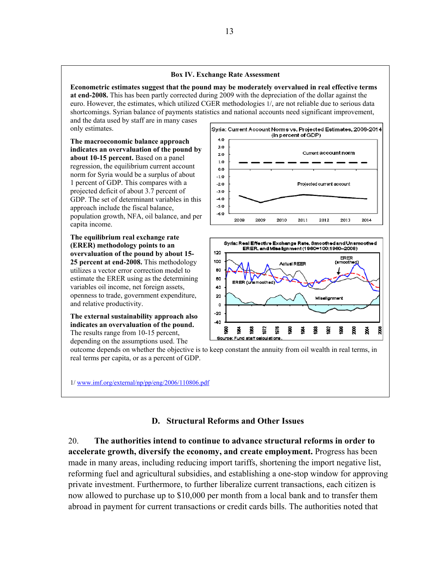#### **Box IV. Exchange Rate Assessment**

**Econometric estimates suggest that the pound may be moderately overvalued in real effective terms at end-2008.** This has been partly corrected during 2009 with the depreciation of the dollar against the euro. However, the estimates, which utilized CGER methodologies 1/, are not reliable due to serious data shortcomings. Syrian balance of payments statistics and national accounts need significant improvement,

and the data used by staff are in many cases only estimates.

**The macroeconomic balance approach indicates an overvaluation of the pound by about 10-15 percent.** Based on a panel regression, the equilibrium current account norm for Syria would be a surplus of about 1 percent of GDP. This compares with a projected deficit of about 3.7 percent of GDP. The set of determinant variables in this approach include the fiscal balance, population growth, NFA, oil balance, and per capita income.

**The equilibrium real exchange rate (ERER) methodology points to an overvaluation of the pound by about 15- 25 percent at end-2008.** This methodology utilizes a vector error correction model to estimate the ERER using as the determining variables oil income, net foreign assets, openness to trade, government expenditure, and relative productivity.

**The external sustainability approach also indicates an overvaluation of the pound.** The results range from 10-15 percent, depending on the assumptions used. The

Syria: Current Account Norms vs. Projected Estimates, 2008-2014 (in percent of GDP) 4.0 3.0 Current account norm 2.0  $1.0$  $0.0$  $-1.0$  $-2.0$ Projected current account  $-3.0$  $-4.0$  $-5.0$  $-6.0$ 2008 **2009** 2011 2012 2013 2014 2010



outcome depends on whether the objective is to keep constant the annuity from oil wealth in real terms, in real terms per capita, or as a percent of GDP.

1/ www.imf.org/external/np/pp/eng/2006/110806.pdf

## **D. Structural Reforms and Other Issues**

20. **The authorities intend to continue to advance structural reforms in order to accelerate growth, diversify the economy, and create employment.** Progress has been made in many areas, including reducing import tariffs, shortening the import negative list, reforming fuel and agricultural subsidies, and establishing a one-stop window for approving private investment. Furthermore, to further liberalize current transactions, each citizen is now allowed to purchase up to \$10,000 per month from a local bank and to transfer them abroad in payment for current transactions or credit cards bills. The authorities noted that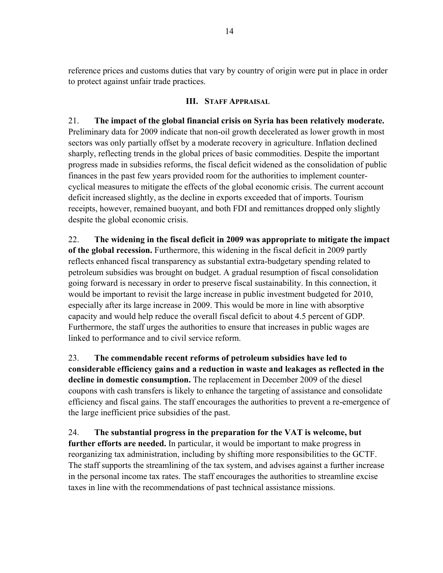reference prices and customs duties that vary by country of origin were put in place in order to protect against unfair trade practices.

## **III. STAFF APPRAISAL**

# 21. **The impact of the global financial crisis on Syria has been relatively moderate.**

Preliminary data for 2009 indicate that non-oil growth decelerated as lower growth in most sectors was only partially offset by a moderate recovery in agriculture. Inflation declined sharply, reflecting trends in the global prices of basic commodities. Despite the important progress made in subsidies reforms, the fiscal deficit widened as the consolidation of public finances in the past few years provided room for the authorities to implement countercyclical measures to mitigate the effects of the global economic crisis. The current account deficit increased slightly, as the decline in exports exceeded that of imports. Tourism receipts, however, remained buoyant, and both FDI and remittances dropped only slightly despite the global economic crisis.

22. **The widening in the fiscal deficit in 2009 was appropriate to mitigate the impact of the global recession.** Furthermore, this widening in the fiscal deficit in 2009 partly reflects enhanced fiscal transparency as substantial extra-budgetary spending related to petroleum subsidies was brought on budget. A gradual resumption of fiscal consolidation going forward is necessary in order to preserve fiscal sustainability. In this connection, it would be important to revisit the large increase in public investment budgeted for 2010, especially after its large increase in 2009. This would be more in line with absorptive capacity and would help reduce the overall fiscal deficit to about 4.5 percent of GDP. Furthermore, the staff urges the authorities to ensure that increases in public wages are linked to performance and to civil service reform.

23. **The commendable recent reforms of petroleum subsidies have led to considerable efficiency gains and a reduction in waste and leakages as reflected in the decline in domestic consumption.** The replacement in December 2009 of the diesel coupons with cash transfers is likely to enhance the targeting of assistance and consolidate efficiency and fiscal gains. The staff encourages the authorities to prevent a re-emergence of the large inefficient price subsidies of the past.

24. **The substantial progress in the preparation for the VAT is welcome, but further efforts are needed.** In particular, it would be important to make progress in reorganizing tax administration, including by shifting more responsibilities to the GCTF. The staff supports the streamlining of the tax system, and advises against a further increase in the personal income tax rates. The staff encourages the authorities to streamline excise taxes in line with the recommendations of past technical assistance missions.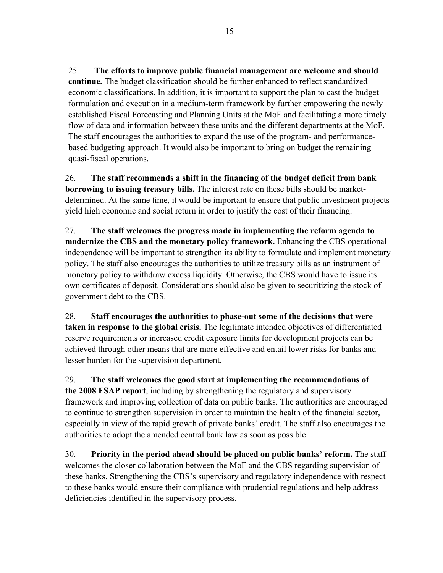25. **The efforts to improve public financial management are welcome and should continue.** The budget classification should be further enhanced to reflect standardized economic classifications. In addition, it is important to support the plan to cast the budget formulation and execution in a medium-term framework by further empowering the newly established Fiscal Forecasting and Planning Units at the MoF and facilitating a more timely flow of data and information between these units and the different departments at the MoF. The staff encourages the authorities to expand the use of the program- and performancebased budgeting approach. It would also be important to bring on budget the remaining quasi-fiscal operations.

26. **The staff recommends a shift in the financing of the budget deficit from bank borrowing to issuing treasury bills.** The interest rate on these bills should be marketdetermined. At the same time, it would be important to ensure that public investment projects yield high economic and social return in order to justify the cost of their financing.

27. **The staff welcomes the progress made in implementing the reform agenda to modernize the CBS and the monetary policy framework.** Enhancing the CBS operational independence will be important to strengthen its ability to formulate and implement monetary policy. The staff also encourages the authorities to utilize treasury bills as an instrument of monetary policy to withdraw excess liquidity. Otherwise, the CBS would have to issue its own certificates of deposit. Considerations should also be given to securitizing the stock of government debt to the CBS.

28. **Staff encourages the authorities to phase-out some of the decisions that were taken in response to the global crisis.** The legitimate intended objectives of differentiated reserve requirements or increased credit exposure limits for development projects can be achieved through other means that are more effective and entail lower risks for banks and lesser burden for the supervision department.

29. **The staff welcomes the good start at implementing the recommendations of the 2008 FSAP report**, including by strengthening the regulatory and supervisory framework and improving collection of data on public banks. The authorities are encouraged to continue to strengthen supervision in order to maintain the health of the financial sector, especially in view of the rapid growth of private banks' credit. The staff also encourages the authorities to adopt the amended central bank law as soon as possible.

30. **Priority in the period ahead should be placed on public banks' reform.** The staff welcomes the closer collaboration between the MoF and the CBS regarding supervision of these banks. Strengthening the CBS's supervisory and regulatory independence with respect to these banks would ensure their compliance with prudential regulations and help address deficiencies identified in the supervisory process.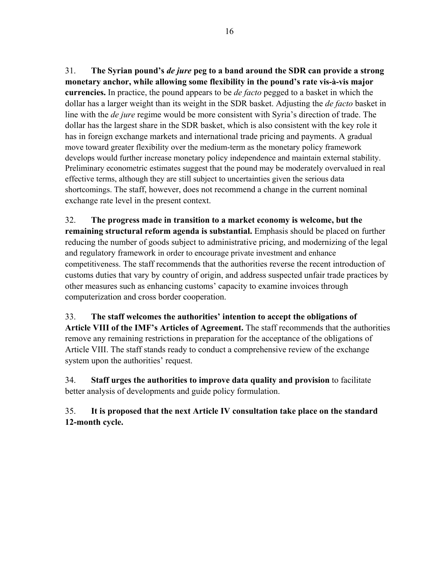31. **The Syrian pound's** *de jure* **peg to a band around the SDR can provide a strong monetary anchor, while allowing some flexibility in the pound's rate vis-à-vis major currencies.** In practice, the pound appears to be *de facto* pegged to a basket in which the dollar has a larger weight than its weight in the SDR basket. Adjusting the *de facto* basket in line with the *de jure* regime would be more consistent with Syria's direction of trade. The dollar has the largest share in the SDR basket, which is also consistent with the key role it has in foreign exchange markets and international trade pricing and payments. A gradual move toward greater flexibility over the medium-term as the monetary policy framework develops would further increase monetary policy independence and maintain external stability. Preliminary econometric estimates suggest that the pound may be moderately overvalued in real effective terms, although they are still subject to uncertainties given the serious data shortcomings. The staff, however, does not recommend a change in the current nominal exchange rate level in the present context.

32. **The progress made in transition to a market economy is welcome, but the remaining structural reform agenda is substantial.** Emphasis should be placed on further reducing the number of goods subject to administrative pricing, and modernizing of the legal and regulatory framework in order to encourage private investment and enhance competitiveness. The staff recommends that the authorities reverse the recent introduction of customs duties that vary by country of origin, and address suspected unfair trade practices by other measures such as enhancing customs' capacity to examine invoices through computerization and cross border cooperation.

33. **The staff welcomes the authorities' intention to accept the obligations of Article VIII of the IMF's Articles of Agreement.** The staff recommends that the authorities remove any remaining restrictions in preparation for the acceptance of the obligations of Article VIII. The staff stands ready to conduct a comprehensive review of the exchange system upon the authorities' request.

34. **Staff urges the authorities to improve data quality and provision** to facilitate better analysis of developments and guide policy formulation.

35. **It is proposed that the next Article IV consultation take place on the standard 12-month cycle.**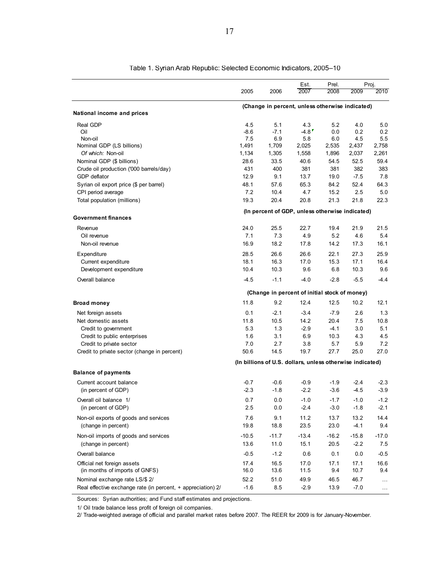|                                                              |               |               | Est.                                                      | Prel.      |            | Proj.         |
|--------------------------------------------------------------|---------------|---------------|-----------------------------------------------------------|------------|------------|---------------|
|                                                              | 2005          | 2006          | 2007                                                      | 2008       | 2009       | 2010          |
| National income and prices                                   |               |               | (Change in percent, unless otherwise indicated)           |            |            |               |
|                                                              |               |               |                                                           |            |            |               |
| Real GDP                                                     | 4.5           | 5.1           | 4.3                                                       | 5.2        | 4.0        | 5.0           |
| Oil<br>Non-oil                                               | $-8.6$<br>7.5 | $-7.1$<br>6.9 | $-4.8$<br>5.8                                             | 0.0<br>6.0 | 0.2<br>4.5 | 0.2<br>5.5    |
| Nominal GDP (LS billions)                                    | 1,491         | 1,709         | 2,025                                                     | 2,535      | 2,437      | 2,758         |
| Of which: Non-oil                                            | 1,134         | 1,305         | 1,558                                                     | 1,896      | 2,037      | 2,261         |
| Nominal GDP (\$ billions)                                    | 28.6          | 33.5          | 40.6                                                      | 54.5       | 52.5       | 59.4          |
| Crude oil production ('000 barrels/day)                      | 431           | 400           | 381                                                       | 381        | 382        | 383           |
| GDP deflator                                                 | 12.9          | 9.1           | 13.7                                                      | 19.0       | $-7.5$     | 7.8           |
| Syrian oil export price (\$ per barrel)                      | 48.1          | 57.6          | 65.3                                                      | 84.2       | 52.4       | 64.3          |
| CPI period average                                           | 7.2           | 10.4          | 4.7                                                       | 15.2       | 2.5        | 5.0           |
| Total population (millions)                                  | 19.3          | 20.4          | 20.8                                                      | 21.3       | 21.8       | 22.3          |
|                                                              |               |               | (In percent of GDP, unless otherwise indicated)           |            |            |               |
| <b>Government finances</b>                                   |               |               |                                                           |            |            |               |
| Revenue                                                      | 24.0          | 25.5          | 22.7                                                      | 19.4       | 21.9       | 21.5          |
| Oil revenue                                                  | 7.1           | 7.3           | 4.9                                                       | 5.2        | 4.6        | 5.4           |
| Non-oil revenue                                              | 16.9          | 18.2          | 17.8                                                      | 14.2       | 17.3       | 16.1          |
| Expenditure                                                  | 28.5          | 26.6          | 26.6                                                      | 22.1       | 27.3       | 25.9          |
| Current expenditure                                          | 18.1          | 16.3          | 17.0                                                      | 15.3       | 17.1       | 16.4          |
| Development expenditure                                      | 10.4          | 10.3          | 9.6                                                       | 6.8        | 10.3       | 9.6           |
| Overall balance                                              | $-4.5$        | $-1.1$        | $-4.0$                                                    | $-2.8$     | $-5.5$     | $-4.4$        |
|                                                              |               |               | (Change in percent of initial stock of money)             |            |            |               |
| <b>Broad money</b>                                           | 11.8          | 9.2           | 12.4                                                      | 12.5       | 10.2       | 12.1          |
| Net foreign assets                                           | 0.1           | $-2.1$        | $-3.4$                                                    | $-7.9$     | 2.6        | 1.3           |
| Net domestic assets                                          | 11.8          | 10.5          | 14.2                                                      | 20.4       | 7.5        | 10.8          |
| Credit to government                                         | 5.3           | 1.3           | $-2.9$                                                    | $-4.1$     | 3.0        | 5.1           |
| Credit to public enterprises                                 | 1.6           | 3.1           | 6.9                                                       | 10.3       | 4.3        | 4.5           |
| Credit to private sector                                     | 7.0           | 2.7           | 3.8                                                       | 5.7        | 5.9        | 7.2           |
| Credit to private sector (change in percent)                 | 50.6          | 14.5          | 19.7                                                      | 27.7       | 25.0       | 27.0          |
|                                                              |               |               | (In billions of U.S. dollars, unless otherwise indicated) |            |            |               |
| <b>Balance of payments</b>                                   |               |               |                                                           |            |            |               |
| Current account balance                                      | $-0.7$        | $-0.6$        | $-0.9$                                                    | $-1.9$     | $-2.4$     | $-2.3$        |
| (in percent of GDP)                                          | $-2.3$        | $-1.8$        | $-2.2$                                                    | $-3.6$     | $-4.5$     | $-3.9$        |
| Overall oil balance 1/                                       | 0.7           | 0.0           | $-1.0$                                                    | $-1.7$     | $-1.0$     | $-1.2$        |
| (in percent of GDP)                                          | 2.5           | 0.0           | $-2.4$                                                    | $-3.0$     | $-1.8$     | $-2.1$        |
| Non-oil exports of goods and services                        | 7.6           | 9.1           | 11.2                                                      | 13.7       | 13.2       | 14.4          |
| (change in percent)                                          | 19.8          | 18.8          | 23.5                                                      | 23.0       | $-4.1$     | 9.4           |
| Non-oil imports of goods and services                        | $-10.5$       | $-11.7$       | $-13.4$                                                   | $-16.2$    | $-15.8$    | $-17.0$       |
| (change in percent)                                          | 13.6          | 11.0          | 15.1                                                      | 20.5       | $-2.2$     | 7.5           |
| Overall balance                                              | $-0.5$        | $-1.2$        | 0.6                                                       | 0.1        | 0.0        | $-0.5$        |
| Official net foreign assets                                  | 17.4          | 16.5          | 17.0                                                      | 17.1       | 17.1       | 16.6          |
| (in months of imports of GNFS)                               | 16.0          | 13.6          | 11.5                                                      | 9.4        | 10.7       | 9.4           |
| Nominal exchange rate LS/\$ 2/                               | 52.2          | 51.0          | 49.9                                                      | 46.5       | 46.7       | $\sim$ $\sim$ |
| Real effective exchange rate (in percent, + appreciation) 2/ | $-1.6$        | 8.5           | $-2.9$                                                    | 13.9       | $-7.0$     | $\ldots$      |

Table 1. Syrian Arab Republic: Selected Economic Indicators, 2005–10

Sources: Syrian authorities; and Fund staff estimates and projections.

1/ Oil trade balance less profit of foreign oil companies.

2/ Trade-weighted average of official and parallel market rates before 2007. The REER for 2009 is for January-November.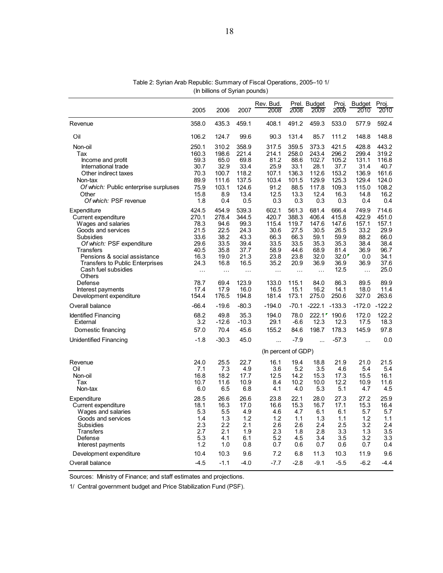|                                                                                                                                                                                                                                                  | 2005                                                                               | 2006                                                                               | 2007                                                                               | Rev. Bud.<br>2008                                                                   | 2008                                                                                | Prel. Budget<br>2009                                                                | Proj.<br>2009                                                                   | <b>Budget</b><br>2010                                                              | Proj.<br>2010                                                                   |
|--------------------------------------------------------------------------------------------------------------------------------------------------------------------------------------------------------------------------------------------------|------------------------------------------------------------------------------------|------------------------------------------------------------------------------------|------------------------------------------------------------------------------------|-------------------------------------------------------------------------------------|-------------------------------------------------------------------------------------|-------------------------------------------------------------------------------------|---------------------------------------------------------------------------------|------------------------------------------------------------------------------------|---------------------------------------------------------------------------------|
| Revenue                                                                                                                                                                                                                                          | 358.0                                                                              | 435.3                                                                              | 459.1                                                                              | 408.1                                                                               | 491.2                                                                               | 459.3                                                                               | 533.0                                                                           | 577.9                                                                              | 592.4                                                                           |
| Oil                                                                                                                                                                                                                                              | 106.2                                                                              | 124.7                                                                              | 99.6                                                                               | 90.3                                                                                | 131.4                                                                               | 85.7                                                                                | 111.2                                                                           | 148.8                                                                              | 148.8                                                                           |
| Non-oil<br>Tax<br>Income and profit                                                                                                                                                                                                              | 250.1<br>160.3<br>59.3                                                             | 310.2<br>198.6<br>65.0                                                             | 358.9<br>221.4<br>69.8                                                             | 317.5<br>214.1<br>81.2                                                              | 359.5<br>258.0<br>88.6                                                              | 373.3<br>243.4<br>102.7                                                             | 421.5<br>296.2<br>105.2                                                         | 428.8<br>299.4<br>131.1                                                            | 443.2<br>319.2<br>116.8                                                         |
| International trade<br>Other indirect taxes<br>Non-tax                                                                                                                                                                                           | 30.7<br>70.3<br>89.9                                                               | 32.9<br>100.7<br>111.6                                                             | 33.4<br>118.2<br>137.5                                                             | 25.9<br>107.1<br>103.4                                                              | 33.1<br>136.3<br>101.5                                                              | 28.1<br>112.6<br>129.9                                                              | 37.7<br>153.2<br>125.3                                                          | 31.4<br>136.9<br>129.4                                                             | 40.7<br>161.6<br>124.0                                                          |
| Of which: Public enterprise surpluses<br>Other<br>Of which: PSF revenue                                                                                                                                                                          | 75.9<br>15.8<br>1.8                                                                | 103.1<br>8.9<br>0.4                                                                | 124.6<br>13.4<br>0.5                                                               | 91.2<br>12.5<br>0.3                                                                 | 88.5<br>13.3<br>0.3                                                                 | 117.8<br>12.4<br>0.3                                                                | 109.3<br>16.3<br>0.3                                                            | 115.0<br>14.8<br>0.4                                                               | 108.2<br>16.2<br>0.4                                                            |
| Expenditure<br>Current expenditure<br>Wages and salaries<br>Goods and services<br>Subsidies<br>Of which: PSF expenditure<br>Transfers<br>Pensions & social assistance<br><b>Transfers to Public Enterprises</b><br>Cash fuel subsidies<br>Others | 424.5<br>270.1<br>78.3<br>21.5<br>33.6<br>29.6<br>40.5<br>16.3<br>24.3<br>$\ldots$ | 454.9<br>278.4<br>94.6<br>22.5<br>38.2<br>33.5<br>35.8<br>19.0<br>16.8<br>$\ldots$ | 539.3<br>344.5<br>99.3<br>24.3<br>43.3<br>39.4<br>37.7<br>21.3<br>16.5<br>$\cdots$ | 602.1<br>420.7<br>115.4<br>30.6<br>66.3<br>33.5<br>58.9<br>23.8<br>35.2<br>$\ldots$ | 561.3<br>388.3<br>119.7<br>27.5<br>66.3<br>33.5<br>44.6<br>23.8<br>20.9<br>$\ddots$ | 681.4<br>406.4<br>147.6<br>30.5<br>59.1<br>35.3<br>68.9<br>32.0<br>36.9<br>$\ldots$ | 666.4<br>415.8<br>147.6<br>26.5<br>59.9<br>35.3<br>81.4<br>32.0<br>36.9<br>12.5 | 749.9<br>422.9<br>157.1<br>33.2<br>88.2<br>38.4<br>36.9<br>0.0<br>36.9<br>$\ddots$ | 714.6<br>451.0<br>157.1<br>29.9<br>66.0<br>38.4<br>96.7<br>34.1<br>37.6<br>25.0 |
| Defense<br>Interest payments<br>Development expenditure                                                                                                                                                                                          | 78.7<br>17.4<br>154.4                                                              | 69.4<br>17.9<br>176.5                                                              | 123.9<br>16.0<br>194.8                                                             | 133.0<br>16.5<br>181.4                                                              | 115.1<br>15.1<br>173.1                                                              | 84.0<br>16.2<br>275.0                                                               | 86.3<br>14.1<br>250.6                                                           | 89.5<br>18.0<br>327.0                                                              | 89.9<br>11.4<br>263.6                                                           |
| Overall balance                                                                                                                                                                                                                                  | $-66.4$                                                                            | $-19.6$                                                                            | $-80.3$                                                                            | $-194.0$                                                                            | $-70.1$                                                                             | $-222.1$                                                                            | $-133.3$                                                                        | $-172.0$                                                                           | $-122.2$                                                                        |
| <b>Identified Financing</b><br>External<br>Domestic financing                                                                                                                                                                                    | 68.2<br>3.2<br>57.0                                                                | 49.8<br>$-12.6$<br>70.4                                                            | 35.3<br>$-10.3$<br>45.6                                                            | 194.0<br>29.1<br>155.2                                                              | 78.0<br>$-6.6$<br>84.6                                                              | 12.3<br>198.7                                                                       | 222.1 190.6<br>12.3<br>178.3                                                    | 172.0<br>17.5<br>145.9                                                             | 122.2<br>18.3<br>97.8                                                           |
| Unidentified Financing                                                                                                                                                                                                                           | $-1.8$                                                                             | $-30.3$                                                                            | 45.0                                                                               | $\ddotsc$                                                                           | $-7.9$                                                                              | $\ddotsc$                                                                           | $-57.3$                                                                         |                                                                                    | 0.0                                                                             |
|                                                                                                                                                                                                                                                  |                                                                                    |                                                                                    |                                                                                    | (In percent of GDP)                                                                 |                                                                                     |                                                                                     |                                                                                 |                                                                                    |                                                                                 |
| Revenue<br>Oil<br>Non-oil<br>Tax<br>Non-tax                                                                                                                                                                                                      | 24.0<br>7.1<br>16.8<br>10.7<br>6.0                                                 | 25.5<br>7.3<br>18.2<br>11.6<br>6.5                                                 | 22.7<br>4.9<br>17.7<br>10.9<br>6.8                                                 | 16.1<br>3.6<br>12.5<br>8.4<br>4.1                                                   | 19.4<br>5.2<br>14.2<br>10.2<br>4.0                                                  | 18.8<br>3.5<br>15.3<br>10.0<br>5.3                                                  | 21.9<br>4.6<br>17.3<br>12.2<br>5.1                                              | 21.0<br>5.4<br>15.5<br>10.9<br>4.7                                                 | 21.5<br>5.4<br>16.1<br>11.6<br>4.5                                              |
| Expenditure<br>Current expenditure<br>Wages and salaries<br>Goods and services<br>Subsidies<br>Transfers<br>Defense<br>Interest payments<br>Development expenditure                                                                              | 28.5<br>18.1<br>5.3<br>1.4<br>2.3<br>2.7<br>5.3<br>1.2<br>10.4                     | 26.6<br>16.3<br>5.5<br>1.3<br>2.2<br>2.1<br>4.1<br>1.0<br>10.3                     | 26.6<br>17.0<br>4.9<br>1.2<br>2.1<br>1.9<br>6.1<br>0.8<br>9.6                      | 23.8<br>16.6<br>4.6<br>1.2<br>2.6<br>2.3<br>5.2<br>0.7<br>7.2                       | 22.1<br>15.3<br>4.7<br>1.1<br>2.6<br>1.8<br>4.5<br>0.6<br>6.8                       | 28.0<br>16.7<br>6.1<br>1.3<br>2.4<br>2.8<br>3.4<br>0.7<br>11.3                      | 27.3<br>17.1<br>6.1<br>1.1<br>2.5<br>3.3<br>3.5<br>0.6<br>10.3                  | 27.2<br>15.3<br>5.7<br>1.2<br>3.2<br>1.3<br>3.2<br>0.7<br>11.9                     | 25.9<br>16.4<br>5.7<br>1.1<br>2.4<br>3.5<br>3.3<br>0.4<br>9.6                   |
| Overall balance                                                                                                                                                                                                                                  | $-4.5$                                                                             | $-1.1$                                                                             | $-4.0$                                                                             | $-7.7$                                                                              | $-2.8$                                                                              | $-9.1$                                                                              | $-5.5$                                                                          | $-6.2$                                                                             | $-4.4$                                                                          |

Table 2: Syrian Arab Republic: Summary of Fiscal Operations, 2005–10 1/ (In billions of Syrian pounds)

Sources: Ministry of Finance; and staff estimates and projections.

1/ Central government budget and Price Stabilization Fund (PSF).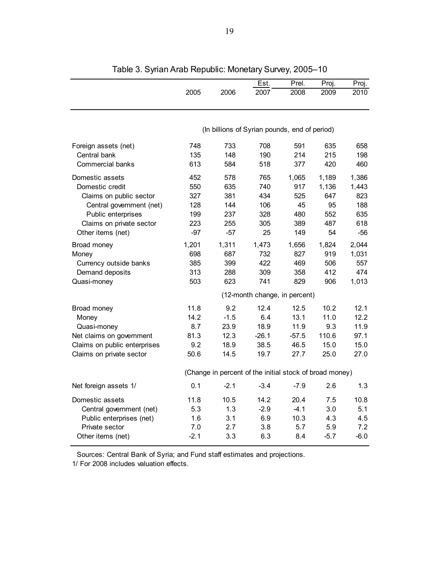|                              |        |        | Est.                                                    | Prel.   | Proj.  | Proj.  |
|------------------------------|--------|--------|---------------------------------------------------------|---------|--------|--------|
|                              | 2005   | 2006   | 2007                                                    | 2008    | 2009   | 2010   |
|                              |        |        | (In billions of Syrian pounds, end of period)           |         |        |        |
|                              |        |        |                                                         |         |        |        |
| Foreign assets (net)         | 748    | 733    | 708                                                     | 591     | 635    | 658    |
| Central bank                 | 135    | 148    | 190                                                     | 214     | 215    | 198    |
| Commercial banks             | 613    | 584    | 518                                                     | 377     | 420    | 460    |
| Domestic assets              | 452    | 578    | 765                                                     | 1,065   | 1,189  | 1,386  |
| Domestic credit              | 550    | 635    | 740                                                     | 917     | 1,136  | 1,443  |
| Claims on public sector      | 327    | 381    | 434                                                     | 525     | 647    | 823    |
| Central government (net)     | 128    | 144    | 106                                                     | 45      | 95     | 188    |
| Public enterprises           | 199    | 237    | 328                                                     | 480     | 552    | 635    |
| Claims on private sector     | 223    | 255    | 305                                                     | 389     | 487    | 618    |
| Other items (net)            | $-97$  | $-57$  | 25                                                      | 149     | 54     | $-56$  |
| Broad money                  | 1,201  | 1,311  | 1,473                                                   | 1,656   | 1,824  | 2,044  |
| Money                        | 698    | 687    | 732                                                     | 827     | 919    | 1,031  |
| Currency outside banks       | 385    | 399    | 422                                                     | 469     | 506    | 557    |
| Demand deposits              | 313    | 288    | 309                                                     | 358     | 412    | 474    |
| Quasi-money                  | 503    | 623    | 741                                                     | 829     | 906    | 1,013  |
|                              |        |        | (12-month change, in percent)                           |         |        |        |
| Broad money                  | 11.8   | 9.2    | 12.4                                                    | 12.5    | 10.2   | 12.1   |
| Money                        | 14.2   | $-1.5$ | 6.4                                                     | 13.1    | 11.0   | 12.2   |
| Quasi-money                  | 8.7    | 23.9   | 18.9                                                    | 11.9    | 9.3    | 11.9   |
| Net claims on government     | 81.3   | 12.3   | $-26.1$                                                 | $-57.5$ | 110.6  | 97.1   |
| Claims on public enterprises | 9.2    | 18.9   | 38.5                                                    | 46.5    | 15.0   | 15.0   |
| Claims on private sector     | 50.6   | 14.5   | 19.7                                                    | 27.7    | 25.0   | 27.0   |
|                              |        |        | (Change in percent of the initial stock of broad money) |         |        |        |
| Net foreign assets 1/        | 0.1    | $-2.1$ | $-3.4$                                                  | $-7.9$  | 2.6    | 1.3    |
| Domestic assets              | 11.8   | 10.5   | 14.2                                                    | 20.4    | 7.5    | 10.8   |
| Central government (net)     | 5.3    | 1.3    | $-2.9$                                                  | $-4.1$  | 3.0    | 5.1    |
| Public enterprises (net)     | 1.6    | 3.1    | 6.9                                                     | 10.3    | 4.3    | 4.5    |
| Private sector               | 7.0    | 2.7    | 3.8                                                     | 5.7     | 5.9    | 7.2    |
| Other items (net)            | $-2.1$ | 3.3    | 6.3                                                     | 8.4     | $-5.7$ | $-6.0$ |

Table 3. Syrian Arab Republic: Monetary Survey, 2005–10

Sources: Central Bank of Syria; and Fund staff estimates and projections.

1/ For 2008 includes valuation effects.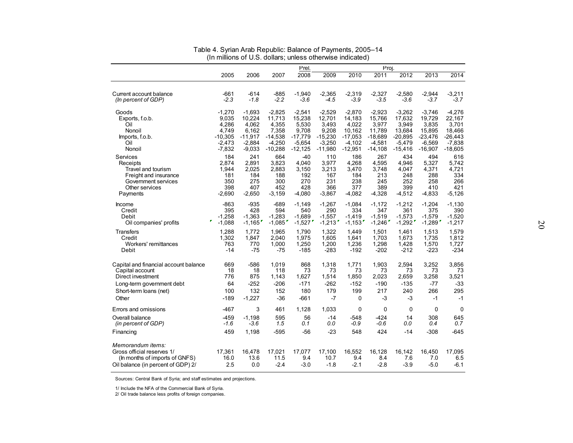|                                                                                                                         |                       |                       |                          | Prel.                   |                          |                         | Proj.                   |                         |                         |                         |
|-------------------------------------------------------------------------------------------------------------------------|-----------------------|-----------------------|--------------------------|-------------------------|--------------------------|-------------------------|-------------------------|-------------------------|-------------------------|-------------------------|
|                                                                                                                         | 2005                  | 2006                  | 2007                     | 2008                    | 2009                     | 2010                    | 2011                    | 2012                    | 2013                    | 2014                    |
| Current account balance                                                                                                 | -661                  | $-614$                | $-885$                   | $-1,940$                | $-2,365$                 | $-2,319$                | $-2,327$                | $-2.580$                | $-2.944$                | $-3,211$                |
| (In percent of GDP)                                                                                                     | $-2.3$                | $-1.8$                | $-2.2$                   | $-3.6$                  | $-4.5$                   | $-3.9$                  | $-3.5$                  | $-3.6$                  | $-3.7$                  | $-3.7$                  |
| Goods                                                                                                                   | -1,270                | $-1,693$              | $-2,825$                 | $-2,541$                | $-2,529$                 | $-2,870$                | $-2,923$                | $-3,262$                | $-3,746$                | $-4,276$                |
| Exports, f.o.b.                                                                                                         | 9,035                 | 10,224                | 11,713                   | 15,238                  | 12,701                   | 14,183                  | 15,766                  | 17,632                  | 19,729                  | 22,167                  |
| Oil                                                                                                                     | 4,286                 | 4,062                 | 4,355                    | 5,530                   | 3,493                    | 4,022                   | 3,977                   | 3,949                   | 3,835                   | 3,701                   |
| Nonoil                                                                                                                  | 4.749                 | 6,162                 | 7.358                    | 9,708                   | 9,208                    | 10,162                  | 11,789                  | 13.684                  | 15.895                  | 18,466                  |
| Imports, f.o.b.                                                                                                         | $-10,305$             | $-11,917$             | $-14,538$                | $-17,779$               | $-15,230$                | $-17,053$               | $-18,689$               | $-20,895$               | $-23,476$               | $-26,443$               |
| Oil                                                                                                                     | $-2,473$              | $-2,884$              | $-4,250$                 | $-5,654$                | $-3,250$                 | $-4,102$                | $-4,581$                | $-5,479$                | $-6,569$                | $-7,838$                |
| Nonoil                                                                                                                  | $-7,832$              | $-9,033$              | $-10,288$                | $-12,125$               | $-11,980$                | $-12,951$               | $-14,108$               | $-15,416$               | $-16,907$               | $-18,605$               |
| Services                                                                                                                | 184                   | 241                   | 664                      | $-40$                   | 110                      | 186                     | 267                     | 434                     | 494                     | 616                     |
| Receipts                                                                                                                | 2,874                 | 2,891                 | 3,823                    | 4,040                   | 3,977                    | 4,268                   | 4,595                   | 4,946                   | 5,327                   | 5,742                   |
| Travel and tourism                                                                                                      | 1,944                 | 2,025                 | 2,883                    | 3,150                   | 3,213                    | 3,470                   | 3,748                   | 4,047                   | 4,371                   | 4,721                   |
| Freight and insurance                                                                                                   | 181                   | 184                   | 188                      | 192                     | 167                      | 184                     | 213                     | 248                     | 288                     | 334                     |
| Government services                                                                                                     | 350                   | 275                   | 300                      | 270                     | 231                      | 238                     | 245                     | 252                     | 258                     | 266                     |
| Other services                                                                                                          | 398                   | 407                   | 452                      | 428                     | 366                      | 377                     | 389                     | 399                     | 410                     | 421                     |
| Payments                                                                                                                | -2,690                | $-2,650$              | $-3,159$                 | $-4,080$                | $-3,867$                 | -4,082                  | $-4,328$                | $-4,512$                | $-4,833$                | $-5,126$                |
| Income                                                                                                                  | $-863$                | $-935$                | $-689$                   | $-1,149$                | $-1,267$                 | $-1,084$                | $-1,172$                | $-1,212$                | $-1,204$                | $-1,130$                |
| Credit                                                                                                                  | 395                   | 428                   | 594                      | 540                     | 290                      | 334                     | 347                     | 361                     | 375                     | 390                     |
| Debit                                                                                                                   | $-1,258$              | $-1,363$              | $-1,283$                 | $-1,689$                | $-1,557$                 | $-1,419$                | $-1,519$                | $-1,573$                | $-1,579$                | $-1,520$                |
| Oil companies' profits                                                                                                  | $-1,088$              | $-1,165$              | $-1,085$                 | $-1,527$                | $-1,213$                 | $-1,153$ <sup>r</sup>   | $-1,246$                | $-1,292$                | $-1,289$ <sup>r</sup>   | $-1,217$                |
| <b>Transfers</b>                                                                                                        | 1,288                 | 1,772                 | 1.965                    | 1,790                   | 1,322                    | 1.449                   | 1,501                   | 1.461                   | 1,513                   | 1.579                   |
| Credit                                                                                                                  | 1,302                 | 1,847                 | 2,040                    | 1,975                   | 1,605                    | 1,641                   | 1,703                   | 1,673                   | 1,735                   | 1,812                   |
| Workers' remittances                                                                                                    | 763                   | 770                   | 1,000                    | 1,250                   | 1,200                    | 1,236                   | 1,298                   | 1,428                   | 1,570                   | 1,727                   |
| Debit                                                                                                                   | -14                   | $-75$                 | $-75$                    | $-185$                  | $-283$                   | $-192$                  | $-202$                  | $-212$                  | $-223$                  | $-234$                  |
| Capital and financial account balance                                                                                   | 669                   | $-586$                | 1.019                    | 868                     | 1,318                    | 1,771                   | 1,903                   | 2.594                   | 3,252                   | 3,856                   |
| Capital account                                                                                                         | 18                    | 18                    | 118                      | 73                      | 73                       | 73                      | 73                      | 73                      | 73                      | 73                      |
| Direct investment                                                                                                       | 776                   | 875                   | 1,143                    | 1,627                   | 1,514                    | 1,850                   | 2,023                   | 2,659                   | 3,258                   | 3,521                   |
| Long-term government debt                                                                                               | 64                    | $-252$                | $-206$                   | $-171$                  | $-262$                   | $-152$                  | $-190$                  | $-135$                  | -77                     | $-33$                   |
| Short-term loans (net)                                                                                                  | 100                   | 132                   | 152                      | 180                     | 179                      | 199                     | 217                     | 240                     | 266                     | 295                     |
| Other                                                                                                                   | $-189$                | $-1,227$              | $-36$                    | $-661$                  | $-7$                     | 0                       | -3                      | $-3$                    | -1                      | $-1$                    |
| Errors and omissions                                                                                                    | $-467$                | 3                     | 461                      | 1,128                   | 1,033                    | 0                       | 0                       | 0                       | 0                       | 0                       |
| Overall balance                                                                                                         | $-459$                | $-1,198$              | 595                      | 56                      | -14                      | -548                    | -424                    | 14                      | 308                     | 645                     |
| (in percent of GDP)                                                                                                     | -1.6                  | $-3.6$                | 1.5                      | 0.1                     | 0.0                      | -0.9                    | -0.6                    | 0.0                     | 0.4                     | 0.7                     |
| Financing                                                                                                               | 459                   | 1,198                 | $-595$                   | -56                     | $-23$                    | 548                     | 424                     | $-14$                   | -308                    | -645                    |
| Memorandum items:<br>Gross official reserves 1/<br>(In months of imports of GNFS)<br>Oil balance (in percent of GDP) 2/ | 17,361<br>16.0<br>2.5 | 16,478<br>13.6<br>0.0 | 17,021<br>11.5<br>$-2.4$ | 17,077<br>9.4<br>$-3.0$ | 17,100<br>10.7<br>$-1.8$ | 16,552<br>9.4<br>$-2.1$ | 16,128<br>8.4<br>$-2.8$ | 16,142<br>7.6<br>$-3.9$ | 16,450<br>7.0<br>$-5.0$ | 17,095<br>6.5<br>$-6.1$ |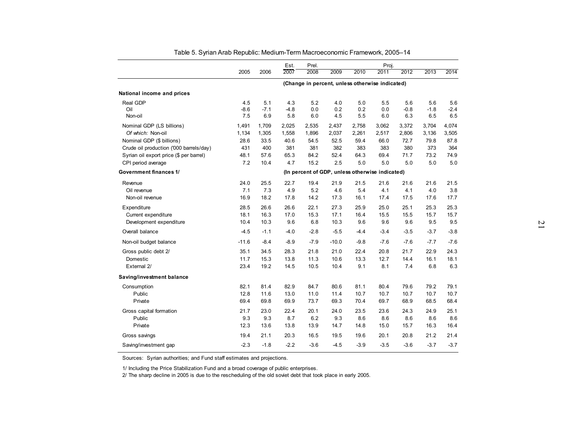|                                                               |               |               | Est.          | Prel.        |              |              | Proj.                                           |               |               |               |
|---------------------------------------------------------------|---------------|---------------|---------------|--------------|--------------|--------------|-------------------------------------------------|---------------|---------------|---------------|
|                                                               | 2005          | 2006          | 2007          | 2008         | 2009         | 2010         | 2011                                            | 2012          | 2013          | 2014          |
|                                                               |               |               |               |              |              |              | (Change in percent, unless otherwise indicated) |               |               |               |
| National income and prices                                    |               |               |               |              |              |              |                                                 |               |               |               |
| Real GDP                                                      | 4.5           | 5.1           | 4.3           | 5.2          | 4.0          | 5.0          | 5.5                                             | 5.6           | 5.6           | 5.6           |
| Oil<br>Non-oil                                                | $-8.6$<br>7.5 | $-7.1$<br>6.9 | $-4.8$<br>5.8 | 0.0<br>6.0   | 0.2<br>4.5   | 0.2<br>5.5   | 0.0<br>6.0                                      | $-0.8$<br>6.3 | $-1.8$<br>6.5 | $-2.4$<br>6.5 |
| Nominal GDP (LS billions)                                     | 1,491         | 1,709         | 2,025         | 2,535        | 2,437        | 2,758        | 3,062                                           | 3,372         | 3,704         | 4,074         |
| Of which: Non-oil                                             | 1,134         | 1,305         | 1,558         | 1,896        | 2,037        | 2,261        | 2,517                                           | 2,806         | 3,136         | 3,505         |
| Nominal GDP (\$ billions)                                     | 28.6          | 33.5          | 40.6          | 54.5         | 52.5         | 59.4         | 66.0                                            | 72.7          | 79.8          | 87.8          |
| Crude oil production ('000 barrels/day)                       | 431           | 400           | 381           | 381          | 382          | 383          | 383                                             | 380           | 373           | 364           |
| Syrian oil export price (\$ per barrel)<br>CPI period average | 48.1<br>7.2   | 57.6<br>10.4  | 65.3<br>4.7   | 84.2<br>15.2 | 52.4<br>2.5  | 64.3<br>5.0  | 69.4<br>5.0                                     | 71.7<br>5.0   | 73.2<br>5.0   | 74.9<br>5.0   |
| Government finances 1/                                        |               |               |               |              |              |              | (In percent of GDP, unless otherwise indicated) |               |               |               |
| Revenue                                                       | 24.0          | 25.5          | 22.7          | 19.4         | 21.9         | 21.5         | 21.6                                            | 21.6          | 21.6          | 21.5          |
| Oil revenue                                                   | 7.1           | 7.3           | 4.9           | 5.2          | 4.6          | 5.4          | 4.1                                             | 4.1           | 4.0           | 3.8           |
| Non-oil revenue                                               | 16.9          | 18.2          | 17.8          | 14.2         | 17.3         | 16.1         | 17.4                                            | 17.5          | 17.6          | 17.7          |
| Expenditure                                                   | 28.5          | 26.6          | 26.6          | 22.1         | 27.3         | 25.9         | 25.0                                            | 25.1          | 25.3          | 25.3          |
| Current expenditure                                           | 18.1          | 16.3          | 17.0          | 15.3         | 17.1         | 16.4         | 15.5                                            | 15.5          | 15.7          | 15.7          |
| Development expenditure                                       | 10.4          | 10.3          | 9.6           | 6.8          | 10.3         | 9.6          | 9.6                                             | 9.6           | 9.5           | 9.5           |
| Overall balance                                               | $-4.5$        | $-1.1$        | $-4.0$        | $-2.8$       | $-5.5$       | $-4.4$       | $-3.4$                                          | $-3.5$        | $-3.7$        | $-3.8$        |
| Non-oil budget balance                                        | $-11.6$       | $-8.4$        | $-8.9$        | $-7.9$       | $-10.0$      | $-9.8$       | $-7.6$                                          | $-7.6$        | $-7.7$        | $-7.6$        |
| Gross public debt 2/                                          | 35.1          | 34.5          | 28.3          | 21.8         | 21.0         | 22.4         | 20.8                                            | 21.7          | 22.9          | 24.3          |
| Domestic<br>External 2/                                       | 11.7<br>23.4  | 15.3<br>19.2  | 13.8          | 11.3<br>10.5 | 10.6         | 13.3         | 12.7<br>8.1                                     | 14.4<br>7.4   | 16.1          | 18.1<br>6.3   |
|                                                               |               |               | 14.5          |              | 10.4         | 9.1          |                                                 |               | 6.8           |               |
| Saving/investment balance                                     |               |               |               |              |              |              |                                                 |               |               |               |
| Consumption<br>Public                                         | 82.1<br>12.8  | 81.4<br>11.6  | 82.9<br>13.0  | 84.7<br>11.0 | 80.6<br>11.4 | 81.1<br>10.7 | 80.4<br>10.7                                    | 79.6<br>10.7  | 79.2<br>10.7  | 79.1<br>10.7  |
| Private                                                       | 69.4          | 69.8          | 69.9          | 73.7         | 69.3         | 70.4         | 69.7                                            | 68.9          | 68.5          | 68.4          |
| Gross capital formation                                       | 21.7          | 23.0          | 22.4          | 20.1         | 24.0         | 23.5         | 23.6                                            | 24.3          | 24.9          | 25.1          |
| Public                                                        | 9.3           | 9.3           | 8.7           | 6.2          | 9.3          | 8.6          | 8.6                                             | 8.6           | 8.6           | 8.6           |
| Private                                                       | 12.3          | 13.6          | 13.8          | 13.9         | 14.7         | 14.8         | 15.0                                            | 15.7          | 16.3          | 16.4          |
| Gross savings                                                 | 19.4          | 21.1          | 20.3          | 16.5         | 19.5         | 19.6         | 20.1                                            | 20.8          | 21.2          | 21.4          |
| Saving/investment gap                                         | $-2.3$        | $-1.8$        | $-2.2$        | $-3.6$       | $-4.5$       | $-3.9$       | $-3.5$                                          | $-3.6$        | $-3.7$        | $-3.7$        |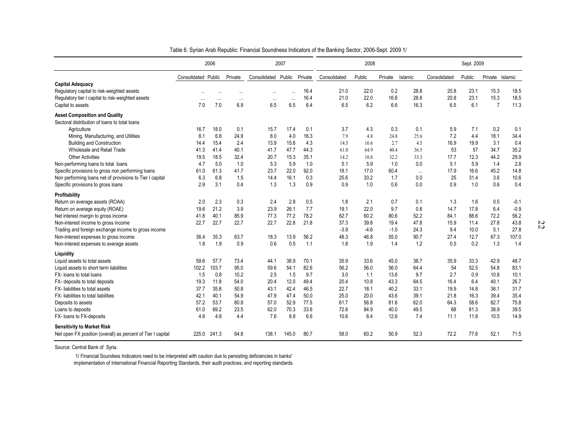|                                                             |                     | 2006        |                  |                     | 2007             |             |              | 2008        |             |              |              | Sept. 2009  |                        |              |
|-------------------------------------------------------------|---------------------|-------------|------------------|---------------------|------------------|-------------|--------------|-------------|-------------|--------------|--------------|-------------|------------------------|--------------|
|                                                             | Consolidated Public |             | Private          | Consolidated Public |                  | Private     | Consolidated | Public      | Private     | Islamic      | Consolidated | Public      | Private Islamic        |              |
| <b>Capital Adequacy</b>                                     |                     |             |                  |                     |                  |             |              |             |             |              |              |             |                        |              |
| Regulatory capital to risk-weighted assets                  |                     | $\ddotsc$   | $\ddotsc$        | $\ddotsc$           |                  | 16.4        | 21.0         | 22.0        | 0.2         | 28.8         | 20.8         | 23.1        | 15.3                   | 18.5         |
| Regulatory tier I capital to risk-weighted assets           | $\ddots$            | $\ddotsc$   | $\ddotsc$<br>6.9 | $\cdots$<br>6.5     | $\ddotsc$<br>6.5 | 16.4<br>6.4 | 21.0<br>6.5  | 22.0<br>6.2 | 16.6<br>6.6 | 28.8<br>16.3 | 20.8<br>6.5  | 23.1<br>6.1 | 15.3<br>$\overline{7}$ | 18.5<br>11.3 |
| Capital to assets                                           | 7.0                 | 7.0         |                  |                     |                  |             |              |             |             |              |              |             |                        |              |
| <b>Asset Composition and Quality</b>                        |                     |             |                  |                     |                  |             |              |             |             |              |              |             |                        |              |
| Sectoral distribution of loans to total loans               |                     |             |                  |                     |                  |             |              |             |             |              |              |             |                        |              |
| Agriculture                                                 | 16.7                | 18.0        | 0.1              | 15.7                | 17.4             | 0.1         | 3.7          | 4.3         | 0.3         | 0.1          | 5.9          | 7.1         | 0.2                    | 0.1          |
| Mining, Manufacturing, and Utilities                        | 8.1                 | 6.8         | 24.9             | 8.0                 | 4.0              | 16.3        | 7.9          | 4.8         | 24.8        | 25.6         | 7.2          | 4.4         | 18.1                   | 34.4         |
| <b>Building and Construction</b>                            | 14.4                | 15.4        | 2.4              | 13.9                | 15.6             | 4.3         | 14.5         | 16.6        | 2.7         | 4.5          | 16.9         | 19.9        | 3.1                    | 0.4          |
| Wholesale and Retail Trade                                  | 41.3                | 41.4        | 40.1             | 41.7                | 47.7             | 44.3        | 61.0         | 64.9        | 40.4        | 36.5         | 53           | 57          | 34.7                   | 35.2         |
| <b>Other Activities</b>                                     | 19.5                | 18.5        | 32.4             | 20.7                | 15.3             | 35.1        | 14.2         | 10.8        | 32.2        | 33.3         | 17.7         | 12.3        | 44.2                   | 29.9         |
| Non-performing loans to total loans                         | 4.7                 | 5.0         | 1.0              | 5.3                 | 5.9              | 1.0         | 5.1          | 5.9         | 1.0         | 0.0          | 5.1          | 5.9         | 1.4                    | 2.8          |
| Specific provisions to gross non performing loans           | 61.0                | 61.3        | 41.7             | 23.7                | 22.0             | 92.0        | 18.1         | 17.0        | 60.4        | $\cdots$     | 17.9         | 16.6        | 45.2                   | 14.8         |
| Non performing loans net of provisions to Tier I capital    | 6.3                 | 6.8         | 1.5              | 14.4                | 16.1             | 0.3         | 25.6         | 33.2        | 1.7         | 0.0          | 25           | 31.4        | 3.6                    | 10.6         |
| Specific provisions to gross loans                          | 2.9                 | 3.1         | 0.4              | 1.3                 | 1.3              | 0.9         | 0.9          | 1.0         | 0.6         | 0.0          | 0.9          | 1.0         | 0.6                    | 0.4          |
| Profitability                                               |                     |             |                  |                     |                  |             |              |             |             |              |              |             |                        |              |
| Return on average assets (ROAA)                             | 2.0                 | 2.3         | 0.3              | 2.4                 | 2.8              | 0.5         | 1.8          | 2.1         | 0.7         | 0.1          | 1.3          | 1.6         | 0.5                    | $-0.1$       |
| Return on average equity (ROAE)                             | 19.6                | 21.2        | 3.9              | 23.9                | 26.1             | 7.7         | 19.1         | 22.0        | 9.7         | 0.8          | 14.7         | 17.8        | 6.4                    | $-0.9$       |
| Net interest margin to gross income                         | 41.8                | 40.1        | 85.9             | 77.3                | 77.2             | 78.2        | 62.7         | 60.2        | 80.6        | 52.2         | 84.1         | 88.6        | 72.2                   | 56.2         |
| Non-interest income to gross income                         | 22.7                | 22.7        | 22.7             | 22.7                | 22.8             | 21.8        | 37.3         | 39.8        | 19.4        | 47.8         | 15.9         | 11.4        | 27.8                   | 43.8         |
| Trading and foreign exchange income to gross income         |                     |             |                  |                     |                  |             | $-3.9$       | $-4.6$      | $-1.0$      | 24.3         | 9.4          | 10.0        | 5.1                    | 27.8         |
| Non-interest expenses to gross income                       | 36.4                | 35.3        | 63.7             | 18.3                | 13.9             | 56.2        | 48.3         | 46.8        | 55.0        | 90.7         | 27.4         | 12.7        | 67.3                   | 107.0        |
| Non-interest expenses to average assets                     | 1.8                 | 1.9         | 0.9              | 0.6                 | 0.5              | 1.1         | 1.8          | 1.9         | 1.4         | 1.2          | 0.5          | 0.2         | 1.3                    | 1.4          |
| Liquidity                                                   |                     |             |                  |                     |                  |             |              |             |             |              |              |             |                        |              |
| Liquid assets to total assets                               | 59.6                | 57.7        | 73.4             | 44.1                | 38.9             | 70.1        | 35.9         | 33.6        | 45.0        | 38.7         | 35.9         | 33.3        | 42.9                   | 48.7         |
| Liquid assets to short term liabilities                     | 102.2               | 103.7       | 95.0             | 59.6                | 54.1             | 82.6        | 56.2         | 56.0        | 56.0        | 64.4         | 54           | 52.5        | 54.8                   | 83.1         |
| FX- loans to total loans                                    | 1.5                 | 0.8         | 10.2             | 2.5                 | 1.5              | 9.7         | 3.0          | 1.1         | 13.6        | 9.7          | 2.7          | 0.9         | 10.8                   | 10.1         |
| FX- deposits to total deposits                              | 19.3                | 11.8        | 54.0             | 20.4                | 12.0             | 49.4        | 20.4         | 10.8        | 43.3        | 64.5         | 16.4         | 6.4         | 40.1                   | 26.7         |
| FX- liabilities to total assets                             | 37.7                | 35.8        | 50.8             | 43.1                | 42.4             | 46.5        | 22.7         | 18.1        | 40.2        | 33.1         | 19.9         | 14.8        | 36.1                   | 31.7         |
| FX- liabilities to total liabilities                        | 42.1                | 40.1        | 54.9             | 47.9                | 47.4             | 50.0        | 25.0         | 20.0        | 43.6        | 39.1         | 21.8         | 16.3        | 39.4                   | 35.4         |
| Deposits to assets                                          | 57.2                | 53.7        | 80.8             | 57.0                | 52.9             | 77.5        | 61.7         | 56.8        | 81.6        | 62.0         | 64.3         | 58.6        | 82.7                   | 75.8         |
| Loans to deposits                                           | 61.0                | 69.2        | 23.5             | 62.0                | 70.3             | 33.6        | 72.6         | 84.9        | 40.0        | 49.5         | 68           | 81.3        | 38.9                   | 39.5         |
| FX- loans to FX-deposits                                    | 4.6                 | 4.8         | 4.4              | 7.6                 | 8.8              | 6.6         | 10.6         | 8.4         | 12.6        | 7.4          | 11.1         | 11.6        | 10.5                   | 14.9         |
| <b>Sensitivity to Market Risk</b>                           |                     |             |                  |                     |                  |             |              |             |             |              |              |             |                        |              |
| Net open FX position (overall) as percent of Tier I capital |                     | 225.0 241.3 | 64.8             | 138.1               | 145.0            | 80.7        | 58.0         | 60.2        | 50.9        | 52.3         | 72.2         | 77.6        | 52.1                   | 71.5         |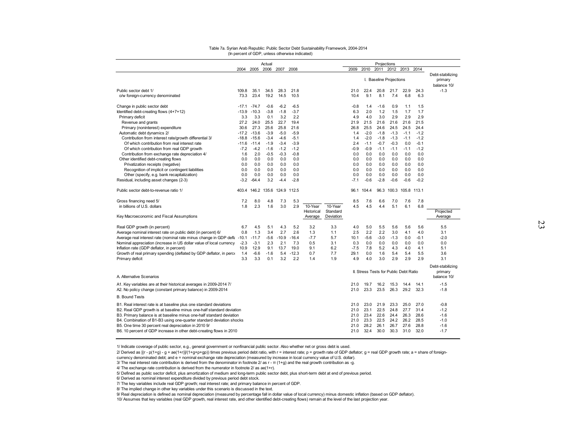| Table 7a. Syrian Arab Republic: Public Sector Debt Sustainability Framework, 2004-2014                                             |            | (In percent of GDP, unless otherwise indicated) |               |               |               |            |           |              |              |                         |                   |                                        |              |                                            |  |
|------------------------------------------------------------------------------------------------------------------------------------|------------|-------------------------------------------------|---------------|---------------|---------------|------------|-----------|--------------|--------------|-------------------------|-------------------|----------------------------------------|--------------|--------------------------------------------|--|
|                                                                                                                                    |            |                                                 |               |               |               |            |           |              |              |                         |                   |                                        |              |                                            |  |
|                                                                                                                                    |            |                                                 | Actual        |               |               |            |           | 2009         |              | Projections             |                   |                                        |              |                                            |  |
|                                                                                                                                    |            | 2004 2005 2006 2007 2008                        |               |               |               |            |           |              |              | I. Baseline Projections |                   | 2010 2011 2012 2013 2014               |              | Debt-stabilizing<br>primary<br>balance 10/ |  |
| Public sector debt 1/                                                                                                              | 109.8      | 35.1                                            | 34.5          | 28.3          | 21.8          |            |           | 21.0         | 22.4         | 20.8                    | 21.7              | 22.9                                   | 24.3         | $-1.3$                                     |  |
| o/w foreign-currency denominated                                                                                                   | 73.3       | 23.4                                            | 19.2          | 14.5          | 10.5          |            |           | 10.4         | 9.1          | 8.1                     | 7.4               | 6.8                                    | 6.3          |                                            |  |
| Change in public sector debt                                                                                                       | $-17.1$    | $-74.7$                                         | $-0.6$        | $-6.2$        | $-6.5$        |            |           | $-0.8$       | 1.4          | $-1.6$                  | 0.9               | 1.1                                    | 1.5          |                                            |  |
| Identified debt-creating flows (4+7+12)                                                                                            | $-13.9$    | $-10.3$                                         | $-3.8$        | $-1.8$        | $-3.7$        |            |           | 6.3          | 2.0          | 1.2                     | 1.5               | 1.7                                    | 1.7          |                                            |  |
| Primary deficit                                                                                                                    | 3.3        | 3.3                                             | 0.1           | 3.2           | 2.2           |            |           | 4.9          | 4.0          | 3.0                     | 2.9               | 2.9                                    | 2.9          |                                            |  |
| Revenue and grants                                                                                                                 | 27.2       | 24.0                                            | 25.5          | 22.7          | 19.4          |            |           | 21.9         | 21.5         | 21.6                    | 21.6              | 21.6                                   | 21.5         |                                            |  |
| Primary (noninterest) expenditure                                                                                                  | 30.6       | 27.3                                            | 25.6          | 25.8          | 21.6          |            |           | 26.8         | 25.5         | 24.6                    | 24.5              | 24.5                                   | 24.4         |                                            |  |
| Automatic debt dynamics 2/                                                                                                         | $-17.2$    | $-13.6$                                         | $-3.9$        | $-5.0$        | $-5.9$        |            |           | 1.4          | $-2.0$       | $-1.8$                  | $-1.3$            | $-1.1$                                 | $-1.2$       |                                            |  |
| Contribution from interest rate/growth differential 3/                                                                             | $-18.8$    | $-15.6$                                         | $-3.4$        | $-4.6$        | $-5.1$        |            |           | 1.4          | $-2.0$       | $-1.8$                  | $-1.3$            | $-1.1$                                 | $-1.2$       |                                            |  |
| Of which contribution from real interest rate                                                                                      | $-11.6$    | $-11.4$                                         | $-1.9$        | $-3.4$        | $-3.9$        |            |           | 2.4          | $-1.1$       | $-0.7$                  | $-0.3$            | 0.0                                    | $-0.1$       |                                            |  |
| Of which contribution from real GDP growth                                                                                         | $-7.2$     | $-4.2$                                          | $-1.6$        | $-1.2$        | $-1.2$        |            |           | $-0.9$       | $-0.9$       | $-1.1$                  | $-1.1$            | $-1.1$                                 | $-1.2$       |                                            |  |
| Contribution from exchange rate depreciation 4/<br>Other identified debt-creating flows                                            | 1.6<br>0.0 | 2.0<br>0.0                                      | $-0.5$<br>0.0 | $-0.3$<br>0.0 | $-0.8$<br>0.0 |            |           | 0.0<br>0.0   | 0.0<br>0.0   | 0.0<br>0.0              | 0.0<br>0.0        | 0.0<br>0.0                             | 0.0<br>0.0   |                                            |  |
| Privatization receipts (negative)                                                                                                  | 0.0        | 0.0                                             | 0.0           | 0.0           | 0.0           |            |           | 0.0          | 0.0          | 0.0                     | 0.0               | 0.0                                    | 0.0          |                                            |  |
| Recognition of implicit or contingent liabilities                                                                                  | 0.0        | 0.0                                             | 0.0           | 0.0           | 0.0           |            |           | 0.0          | 0.0          | 0.0                     | 0.0               | 0.0                                    | 0.0          |                                            |  |
| Other (specify, e.g. bank recapitalization)                                                                                        | 0.0        | 0.0                                             | 0.0           | 0.0           | 0.0           |            |           | 0.0          | 0.0          | 0.0                     | 0.0               | 0.0                                    | 0.0          |                                            |  |
| Residual, including asset changes (2-3)                                                                                            | $-3.2$     | $-64.4$                                         | 3.2           | $-4.4$        | $-2.8$        |            |           | $-7.1$       | $-0.6$       | $-2.8$                  | $-0.6$            | $-0.6$                                 | $-0.2$       |                                            |  |
| Public sector debt-to-revenue ratio 1/                                                                                             |            | 403.4 146.2 135.6 124.9                         |               |               | 112.5         |            |           | 96.1         | 104.4        | 96.3                    | 100.3             | 105.8 113.1                            |              |                                            |  |
| Gross financing need 5/                                                                                                            | 7.2        | 8.0                                             | 4.8           | 7.3           | 5.3           |            |           | 8.5          | 7.6          | 6.6                     | 7.0               | 7.6                                    | 7.8          |                                            |  |
| in billions of U.S. dollars                                                                                                        | 1.8        | 2.3                                             | 1.6           | 3.0           | 2.9           | 10-Year    | 10-Year   | 4.5          | 4.5          | 4.4                     | 5.1               | 6.1                                    | 6.8          |                                            |  |
|                                                                                                                                    |            |                                                 |               |               |               | Historical | Standard  |              |              |                         |                   |                                        |              | Projected                                  |  |
| Key Macroeconomic and Fiscal Assumptions                                                                                           |            |                                                 |               |               |               | Average    | Deviation |              |              |                         |                   |                                        |              | Average                                    |  |
| Real GDP growth (in percent)                                                                                                       | 6.7        | 4.5                                             | 5.1           | 4.3           | 5.2           | 3.2        | 3.3       | 4.0          | 5.0          | 5.5                     | 5.6               | 5.6                                    | 5.6          | 5.5                                        |  |
| Average nominal interest rate on public debt (in percent) 6/                                                                       | 0.8        | 1.3                                             | 3.4           | 2.7           | 2.6           | 1.3        | 1.1       | 2.5          | 2.2          | 2.2                     | 3.0               | 4.1                                    | 4.0          | 3.1                                        |  |
| Average real interest rate (nominal rate minus change in GDP defia                                                                 | $-10.1$    | $-11.7$                                         | $-5.6$        | $-10.9$       | $-16.4$       | $-7.7$     | 5.7       | 10.1         | $-5.6$       | $-3.0$                  | $-1.3$            | 0.0                                    | $-0.1$       | $-2.0$                                     |  |
| Nominal appreciation (increase in US dollar value of local currency                                                                | $-2.3$     | $-3.1$                                          | 2.3           | 2.1           | 7.3           | 0.5        | 3.1       | 0.3          | 0.0          | 0.0                     | 0.0               | 0.0                                    | 0.0          | 0.0                                        |  |
| Inflation rate (GDP deflator, in percent)                                                                                          | 10.9       | 12.9                                            | 9.1           | 13.7          | 19.0          | 9.1        | 6.2       | $-7.5$       | 7.8          | 5.2                     | 4.3               | 4.0                                    | 4.1          | 5.1                                        |  |
| Growth of real primary spending (deflated by GDP deflator, in perci-                                                               | 1.4        | $-6.6$                                          | $-1.6$        | 5.4           | $-12.3$       | 0.7        | 7.7       | 29.1         | 0.0          | 1.6                     | 5.4               | 5.4                                    | 5.5          | 3.6                                        |  |
| Primary deficit                                                                                                                    | 3.3        | 3.3                                             | 0.1           | 3.2           | 2.2           | 1.4        | 1.9       | 4.9          | 4.0          | 3.0                     | 2.9               | 2.9                                    | 2.9          | 3.1                                        |  |
|                                                                                                                                    |            |                                                 |               |               |               |            |           |              |              |                         |                   | II. Stress Tests for Public Debt Ratio |              | Debt-stabilizing<br>primary                |  |
| A. Alternative Scenarios                                                                                                           |            |                                                 |               |               |               |            |           |              |              |                         |                   |                                        |              | balance 10/                                |  |
| A1. Key variables are at their historical averages in 2009-2014 7/<br>A2. No policy change (constant primary balance) in 2009-2014 |            |                                                 |               |               |               |            |           | 21.0<br>21.0 | 19.7<br>23.3 | 16.2                    | 15.3<br>23.5 26.3 | 14.4<br>29.2                           | 14.1<br>32.3 | $-1.5$<br>$-1.8$                           |  |
| <b>B. Bound Tests</b>                                                                                                              |            |                                                 |               |               |               |            |           |              |              |                         |                   |                                        |              |                                            |  |
| B1. Real interest rate is at baseline plus one standard deviations                                                                 |            |                                                 |               |               |               |            |           | 21.0         | 23.0         | 21.9                    | 23.3              | 25.0                                   | 27.0         | $-0.8$                                     |  |
| B2. Real GDP growth is at baseline minus one-half standard deviation                                                               |            |                                                 |               |               |               |            |           | 21.0         | 23.1         | 22.5                    | 24.8              | 27.7                                   | 31.4         | $-1.2$                                     |  |
| B3. Primary balance is at baseline minus one-half standard deviation                                                               |            |                                                 |               |               |               |            |           | 21.0         | 23.4         | 22.6                    | 24.4              | 26.3                                   | 28.6         | $-1.6$                                     |  |
| B4. Combination of B1-B3 using one-quarter standard deviation shocks                                                               |            |                                                 |               |               |               |            |           | 21.0         | 23.3         | 22.5                    | 24.2              | 26.2                                   | 28.5         | $-1.0$                                     |  |
| B5. One time 30 percent real depreciation in 2010 9/                                                                               |            |                                                 |               |               |               |            |           | 21.0         | 28.2         | 26.1                    | 26.7              | 27.6                                   | 28.8         | $-1.6$                                     |  |
| B6. 10 percent of GDP increase in other debt-creating flows in 2010                                                                |            |                                                 |               |               |               |            |           | 21.0         | 32.4         | 30.0                    | 30.3              | 31.0                                   | 32.0         | $-1.7$                                     |  |

#### (In percent of GDP, unless otherwise indicated) Table 7a. Syrian Arab Republic: Public Sector Debt Sustainability Framework, 2004-2014

1/ Indicate coverage of public sector, e.g., general government or nonfinancial public sector. Also whether net or gross debt is used.

2/ Derived as  $[(r - p(1+g) - g + ae(1+r)]/(1+g+p+gp)$  times previous period debt ratio, with r = interest rate; p = growth rate of GDP deflator; g = real GDP growth rate; a = share of foreigncurrency denominated debt; and e = nominal exchange rate depreciation (measured by increase in local currency value of U.S. dollar).

3/ The real interest rate contribution is derived from the denominator in footnote 2/ as  $r = \pi (1+g)$  and the real growth contribution as -g. 4/ The exchange rate contribution is derived from the numerator in footnote 2/

5/ Defined as public sector deficit, plus amortization of medium and long-term public sector debt, plus short-term debt at end of previous period.<br>6/ Derived as nominal interest expenditure divided by previous period debt

7/ The key variables include real GDP growth; real interest rate; and primary balance in percent of GDP.<br>8/ The implied change in other key variables under this scenario is discussed in the text.

9/ Real depreciation is defined as nominal depreciation (measured by percentage fall in dollar value of local currency) minus domestic inflation (based on GDP deflator).

10/ Assumes that key variables (real GDP growth, real interest rate, and other identified debt-creating flows) remain at the level of the last projection year.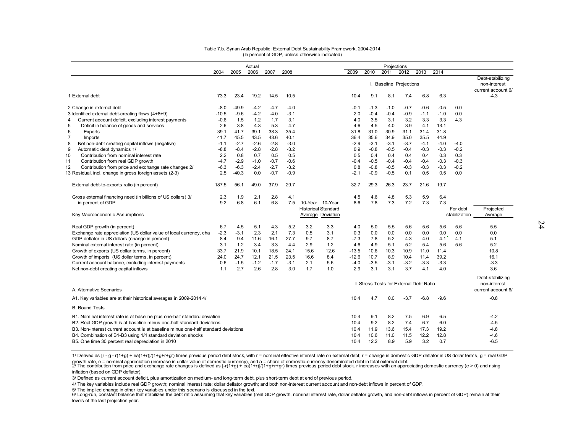|                                                                                    |         |         | Actual |        |        |         |                            |         |        | Projections                              |        |        |        |               |                                                        |
|------------------------------------------------------------------------------------|---------|---------|--------|--------|--------|---------|----------------------------|---------|--------|------------------------------------------|--------|--------|--------|---------------|--------------------------------------------------------|
|                                                                                    | 2004    | 2005    | 2006   | 2007   | 2008   |         |                            | 2009    | 2010   | 2011                                     | 2012   | 2013   | 2014   |               |                                                        |
|                                                                                    |         |         |        |        |        |         |                            |         |        | I. Baseline Projections                  |        |        |        |               | Debt-stabilizing<br>non-interest<br>current account 6/ |
| 1 External debt                                                                    | 73.3    | 23.4    | 19.2   | 14.5   | 10.5   |         |                            | 10.4    | 9.1    | 8.1                                      | 7.4    | 6.8    | 6.3    |               | $-4.3$                                                 |
| 2 Change in external debt                                                          | $-8.0$  | $-49.9$ | $-4.2$ | $-4.7$ | $-4.0$ |         |                            | $-0.1$  | $-1.3$ | $-1.0$                                   | $-0.7$ | $-0.6$ | $-0.5$ | 0.0           |                                                        |
| 3 Identified external debt-creating flows (4+8+9)                                  | $-10.5$ | $-9.6$  | $-4.2$ | $-4.0$ | $-3.1$ |         |                            | 2.0     | $-0.4$ | $-0.4$                                   | $-0.9$ | $-1.1$ | $-1.0$ | 0.0           |                                                        |
| Current account deficit, excluding interest payments<br>4                          | $-0.6$  | 1.5     | 1.2    | 1.7    | 3.1    |         |                            | 4.0     | 3.5    | 3.1                                      | 3.2    | 3.3    | 3.3    | 4.3           |                                                        |
| 5<br>Deficit in balance of goods and services                                      | 2.6     | 3.8     | 4.3    | 5.3    | 4.7    |         |                            | 4.6     | 4.5    | 4.0                                      | 3.9    | 4.1    | 13.1   |               |                                                        |
| 6<br>Exports                                                                       | 39.1    | 41.7    | 39.1   | 38.3   | 35.4   |         |                            | 31.8    | 31.0   | 30.9                                     | 31.1   | 31.4   | 31.8   |               |                                                        |
| $\overline{7}$<br><b>Imports</b>                                                   | 41.7    | 45.5    | 43.5   | 43.6   | 40.1   |         |                            | 36.4    | 35.6   | 34.9                                     | 35.0   | 35.5   | 44.9   |               |                                                        |
| 8<br>Net non-debt creating capital inflows (negative)                              | $-1.1$  | $-2.7$  | $-2.6$ | $-2.8$ | $-3.0$ |         |                            | $-2.9$  | $-3.1$ | $-3.1$                                   | $-3.7$ | $-4.1$ | $-4.0$ | $-4.0$        |                                                        |
| 9<br>Automatic debt dynamics 1/                                                    | $-8.8$  | $-8.4$  | $-2.8$ | $-2.8$ | $-3.2$ |         |                            | 0.9     | $-0.8$ | $-0.5$                                   | $-0.4$ | $-0.3$ | $-0.3$ | $-0.2$        |                                                        |
| 10<br>Contribution from nominal interest rate                                      | 2.2     | 0.8     | 0.7    | 0.5    | 0.5    |         |                            | 0.5     | 0.4    | 0.4                                      | 0.4    | 0.4    | 0.3    | 0.3           |                                                        |
| 11<br>Contribution from real GDP growth                                            | $-4.7$  | $-2.9$  | $-1.0$ | $-0.7$ | $-0.6$ |         |                            | $-0.4$  | $-0.5$ | $-0.4$                                   | $-0.4$ | $-0.4$ | $-0.3$ | $-0.3$        |                                                        |
| 12<br>Contribution from price and exchange rate changes 2/                         | $-6.3$  | $-6.3$  | $-2.4$ | $-2.7$ | $-3.2$ |         |                            | 0.8     | $-0.8$ | $-0.5$                                   | $-0.3$ | $-0.3$ | $-0.3$ | $-0.2$        |                                                        |
| 13 Residual, incl. change in gross foreign assets (2-3)                            | 2.5     | $-40.3$ | 0.0    | $-0.7$ | $-0.9$ |         |                            | $-2.1$  | $-0.9$ | $-0.5$                                   | 0.1    | 0.5    | 0.5    | 0.0           |                                                        |
| External debt-to-exports ratio (in percent)                                        | 187.5   | 56.1    | 49.0   | 37.9   | 29.7   |         |                            | 32.7    | 29.3   | 26.3                                     | 23.7   | 21.6   | 19.7   |               |                                                        |
| Gross external financing need (in billions of US dollars) 3/                       | 2.3     | 1.9     | 2.1    | 2.8    | 4.1    |         |                            | 4.5     | 4.6    | 4.8                                      | 5.3    | 5.9    | 6.4    |               |                                                        |
| in percent of GDP                                                                  | 9.2     | 6.8     | 6.1    | 6.8    | 7.5    | 10-Year | 10-Year                    | 8.6     | 7.8    | 7.3                                      | 7.2    | 7.3    | 7.3    |               |                                                        |
|                                                                                    |         |         |        |        |        |         | <b>Historical Standard</b> |         |        |                                          |        |        |        | For debt      | Projected                                              |
| Key Macroeconomic Assumptions                                                      |         |         |        |        |        |         | Average Deviation          |         |        |                                          |        |        |        | stabilization | Average                                                |
| Real GDP growth (in percent)                                                       | 6.7     | 4.5     | 5.1    | 4.3    | 5.2    | 3.2     | 3.3                        | 4.0     | 5.0    | 5.5                                      | 5.6    | 5.6    | 5.6    | 5.6           | 5.5                                                    |
| Exchange rate appreciation (US dollar value of local currency, cha                 | $-2.3$  | $-3.1$  | 2.3    | 2.1    | 7.3    | 0.5     | 3.1                        | 0.3     | 0.0    | 0.0                                      | 0.0    | 0.0    | 0.0    | 0.0           | 0.0                                                    |
| GDP deflator in US dollars (change in percent)                                     | 8.4     | 9.4     | 11.6   | 16.1   | 27.7   | 9.7     | 8.7                        | $-7.3$  | 7.8    | 5.2                                      | 4.3    | 4.0    | 4.1    | 4.1           | 5.1                                                    |
| Nominal external interest rate (in percent)                                        | 3.1     | 1.2     | 3.4    | 3.3    | 4.4    | 2.9     | 1.2                        | 4.6     | 4.9    | 5.1                                      | 5.2    | 5.4    | 5.6    | 5.6           | 5.2                                                    |
| Growth of exports (US dollar terms, in percent)                                    | 33.7    | 21.9    | 10.1   | 18.5   | 24.1   | 15.6    | 12.6                       | $-13.5$ | 10.6   | 10.3                                     | 10.9   | 11.0   | 11.4   |               | 10.8                                                   |
| Growth of imports (US dollar terms, in percent)                                    | 24.0    | 24.7    | 12.1   | 21.5   | 23.5   | 16.6    | 8.4                        | $-12.6$ | 10.7   | 8.9                                      | 10.4   | 11.4   | 39.2   |               | 16.1                                                   |
| Current account balance, excluding interest payments                               | 0.6     | $-1.5$  | $-1.2$ | $-1.7$ | $-3.1$ | 2.1     | 5.6                        | $-4.0$  | $-3.5$ | $-3.1$                                   | $-3.2$ | $-3.3$ | -3.3   |               | $-3.3$                                                 |
| Net non-debt creating capital inflows                                              | 1.1     | 2.7     | 2.6    | 2.8    | 3.0    | 1.7     | 1.0                        | 2.9     | 3.1    | 3.1                                      | 3.7    | 4.1    | 4.0    |               | 3.6                                                    |
|                                                                                    |         |         |        |        |        |         |                            |         |        |                                          |        |        |        |               | Debt-stabilizing<br>non-interest                       |
| A. Alternative Scenarios                                                           |         |         |        |        |        |         |                            |         |        | II. Stress Tests for External Debt Ratio |        |        |        |               | current account 6/                                     |
| A1. Key variables are at their historical averages in 2009-2014 4/                 |         |         |        |        |        |         |                            | 10.4    | 4.7    | 0.0                                      | $-3.7$ | $-6.8$ | $-9.6$ |               | $-0.8$                                                 |
| <b>B. Bound Tests</b>                                                              |         |         |        |        |        |         |                            |         |        |                                          |        |        |        |               |                                                        |
| B1. Nominal interest rate is at baseline plus one-half standard deviation          |         |         |        |        |        |         |                            | 10.4    | 9.1    | 8.2                                      | 7.5    | 6.9    | 6.5    |               | $-4.2$                                                 |
| B2. Real GDP growth is at baseline minus one-half standard deviations              |         |         |        |        |        |         |                            | 10.4    | 9.2    | 8.2                                      | 7.4    | 6.7    | 6.0    |               | $-4.5$                                                 |
| B3. Non-interest current account is at baseline minus one-half standard deviations |         |         |        |        |        |         |                            | 10.4    | 11.9   | 13.6                                     | 15.4   | 17.3   | 19.2   |               | $-4.8$                                                 |
| B4. Combination of B1-B3 using 1/4 standard deviation shocks                       |         |         |        |        |        |         |                            | 10.4    | 10.6   | 11.0                                     | 11.5   | 12.2   | 12.8   |               | $-4.6$                                                 |
| B5. One time 30 percent real depreciation in 2010                                  |         |         |        |        |        |         |                            | 10.4    | 12.2   | 8.9                                      | 5.9    | 3.2    | 0.7    |               | $-6.5$                                                 |

5/ The implied change in other key variables under this scenario is discussed in the text.<br>6/ Long-run, constant balance that stabilizes the debt ratio assuming that key variables (real GDP growth, nominal interest rate, d levels of the last projection year.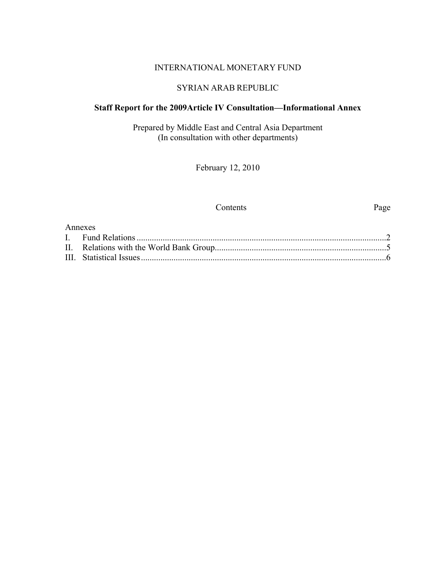#### INTERNATIONAL MONETARY FUND

## SYRIAN ARAB REPUBLIC

## **Staff Report for the 2009Article IV Consultation—Informational Annex**

Prepared by Middle East and Central Asia Department (In consultation with other departments)

February 12, 2010

#### Contents Page

| Annexes |  |
|---------|--|
|         |  |
|         |  |
|         |  |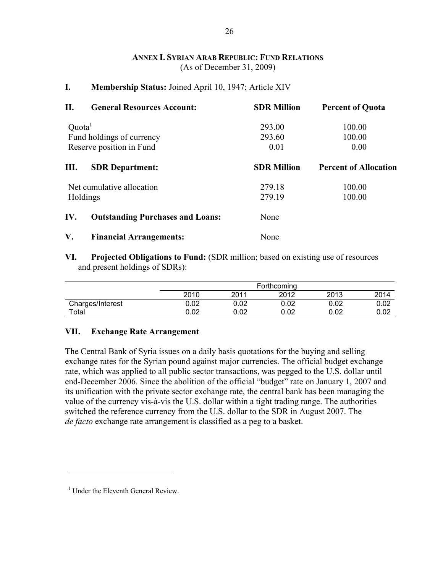#### **ANNEX I. SYRIAN ARAB REPUBLIC: FUND RELATIONS** (As of December 31, 2009)

#### **I. Membership Status:** Joined April 10, 1947; Article XIV

| П.                                                    | <b>General Resources Account:</b>       | <b>SDR Million</b> | <b>Percent of Quota</b>      |  |  |
|-------------------------------------------------------|-----------------------------------------|--------------------|------------------------------|--|--|
| Quota <sup>1</sup>                                    |                                         | 293.00             | 100.00                       |  |  |
| Fund holdings of currency<br>Reserve position in Fund |                                         | 293.60             | 100.00<br>0.00               |  |  |
|                                                       |                                         | 0.01               |                              |  |  |
| Ш.                                                    | <b>SDR</b> Department:                  | <b>SDR Million</b> | <b>Percent of Allocation</b> |  |  |
|                                                       | Net cumulative allocation               | 279.18             | 100.00                       |  |  |
| Holdings                                              |                                         | 279.19             | 100.00                       |  |  |
| IV.                                                   | <b>Outstanding Purchases and Loans:</b> | None               |                              |  |  |
| V.                                                    | <b>Financial Arrangements:</b>          | None               |                              |  |  |

**VI. Projected Obligations to Fund:** (SDR million; based on existing use of resources and present holdings of SDRs):

|                  |      | Forthcoming |      |      |      |  |
|------------------|------|-------------|------|------|------|--|
|                  | 2010 | 2011        | 2012 | 2013 | 2014 |  |
| Charges/Interest | 0.02 | 0.02        | 0.02 | 0.02 | 0.02 |  |
| Total            | 0.02 | 0.02        | 0.02 | 0.02 | 0.02 |  |

#### **VII. Exchange Rate Arrangement**

The Central Bank of Syria issues on a daily basis quotations for the buying and selling exchange rates for the Syrian pound against major currencies. The official budget exchange rate, which was applied to all public sector transactions, was pegged to the U.S. dollar until end-December 2006. Since the abolition of the official "budget" rate on January 1, 2007 and its unification with the private sector exchange rate, the central bank has been managing the value of the currency vis-à-vis the U.S. dollar within a tight trading range. The authorities switched the reference currency from the U.S. dollar to the SDR in August 2007. The *de facto* exchange rate arrangement is classified as a peg to a basket.

<u>.</u>

<sup>&</sup>lt;sup>1</sup> Under the Eleventh General Review.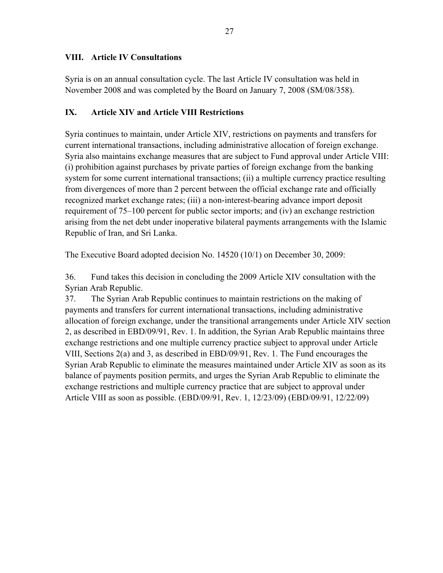## **VIII. Article IV Consultations**

Syria is on an annual consultation cycle. The last Article IV consultation was held in November 2008 and was completed by the Board on January 7, 2008 (SM/08/358).

## **IX. Article XIV and Article VIII Restrictions**

Syria continues to maintain, under Article XIV, restrictions on payments and transfers for current international transactions, including administrative allocation of foreign exchange. Syria also maintains exchange measures that are subject to Fund approval under Article VIII: (i) prohibition against purchases by private parties of foreign exchange from the banking system for some current international transactions; (ii) a multiple currency practice resulting from divergences of more than 2 percent between the official exchange rate and officially recognized market exchange rates; (iii) a non-interest-bearing advance import deposit requirement of 75–100 percent for public sector imports; and (iv) an exchange restriction arising from the net debt under inoperative bilateral payments arrangements with the Islamic Republic of Iran, and Sri Lanka.

The Executive Board adopted decision No. 14520 (10/1) on December 30, 2009:

36. Fund takes this decision in concluding the 2009 Article XIV consultation with the Syrian Arab Republic.

37. The Syrian Arab Republic continues to maintain restrictions on the making of payments and transfers for current international transactions, including administrative allocation of foreign exchange, under the transitional arrangements under Article XIV section 2, as described in EBD/09/91, Rev. 1. In addition, the Syrian Arab Republic maintains three exchange restrictions and one multiple currency practice subject to approval under Article VIII, Sections 2(a) and 3, as described in EBD/09/91, Rev. 1. The Fund encourages the Syrian Arab Republic to eliminate the measures maintained under Article XIV as soon as its balance of payments position permits, and urges the Syrian Arab Republic to eliminate the exchange restrictions and multiple currency practice that are subject to approval under Article VIII as soon as possible. (EBD/09/91, Rev. 1, 12/23/09) (EBD/09/91, 12/22/09)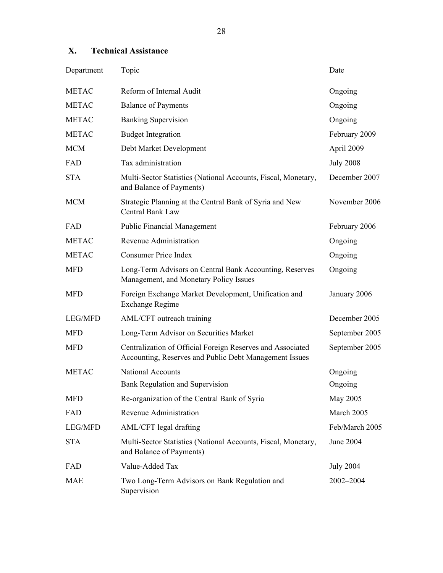## **X. Technical Assistance**

| Department     | Topic                                                                                                                | Date             |
|----------------|----------------------------------------------------------------------------------------------------------------------|------------------|
| <b>METAC</b>   | Reform of Internal Audit                                                                                             | Ongoing          |
| <b>METAC</b>   | <b>Balance of Payments</b>                                                                                           | Ongoing          |
| <b>METAC</b>   | <b>Banking Supervision</b>                                                                                           | Ongoing          |
| <b>METAC</b>   | <b>Budget Integration</b>                                                                                            | February 2009    |
| <b>MCM</b>     | Debt Market Development                                                                                              | April 2009       |
| FAD            | Tax administration                                                                                                   | <b>July 2008</b> |
| <b>STA</b>     | Multi-Sector Statistics (National Accounts, Fiscal, Monetary,<br>and Balance of Payments)                            | December 2007    |
| <b>MCM</b>     | Strategic Planning at the Central Bank of Syria and New<br>Central Bank Law                                          | November 2006    |
| FAD            | <b>Public Financial Management</b>                                                                                   | February 2006    |
| <b>METAC</b>   | <b>Revenue Administration</b>                                                                                        | Ongoing          |
| <b>METAC</b>   | <b>Consumer Price Index</b>                                                                                          | Ongoing          |
| <b>MFD</b>     | Long-Term Advisors on Central Bank Accounting, Reserves<br>Management, and Monetary Policy Issues                    | Ongoing          |
| <b>MFD</b>     | Foreign Exchange Market Development, Unification and<br><b>Exchange Regime</b>                                       | January 2006     |
| <b>LEG/MFD</b> | AML/CFT outreach training                                                                                            | December 2005    |
| <b>MFD</b>     | Long-Term Advisor on Securities Market                                                                               | September 2005   |
| <b>MFD</b>     | Centralization of Official Foreign Reserves and Associated<br>Accounting, Reserves and Public Debt Management Issues | September 2005   |
| <b>METAC</b>   | <b>National Accounts</b>                                                                                             | Ongoing          |
|                | Bank Regulation and Supervision                                                                                      | Ongoing          |
| <b>MFD</b>     | Re-organization of the Central Bank of Syria                                                                         | May 2005         |
| FAD            | Revenue Administration                                                                                               | March 2005       |
| <b>LEG/MFD</b> | AML/CFT legal drafting                                                                                               | Feb/March 2005   |
| <b>STA</b>     | Multi-Sector Statistics (National Accounts, Fiscal, Monetary,<br>and Balance of Payments)                            | June 2004        |
| FAD            | Value-Added Tax                                                                                                      | <b>July 2004</b> |
| <b>MAE</b>     | Two Long-Term Advisors on Bank Regulation and<br>Supervision                                                         | 2002-2004        |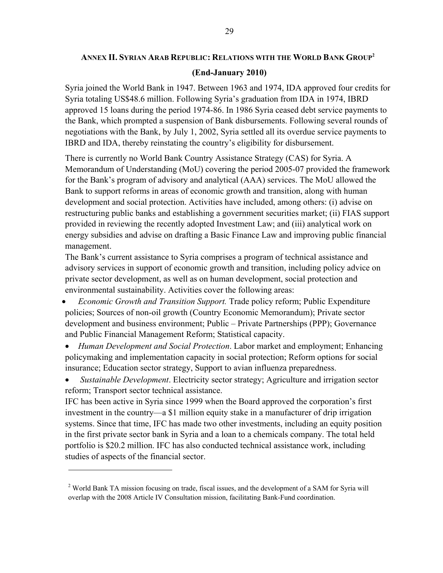# **ANNEX II. SYRIAN ARAB REPUBLIC: RELATIONS WITH THE WORLD BANK GROUP2 (End-January 2010)**

Syria joined the World Bank in 1947. Between 1963 and 1974, IDA approved four credits for Syria totaling US\$48.6 million. Following Syria's graduation from IDA in 1974, IBRD approved 15 loans during the period 1974-86. In 1986 Syria ceased debt service payments to the Bank, which prompted a suspension of Bank disbursements. Following several rounds of negotiations with the Bank, by July 1, 2002, Syria settled all its overdue service payments to IBRD and IDA, thereby reinstating the country's eligibility for disbursement.

There is currently no World Bank Country Assistance Strategy (CAS) for Syria. A Memorandum of Understanding (MoU) covering the period 2005-07 provided the framework for the Bank's program of advisory and analytical (AAA) services. The MoU allowed the Bank to support reforms in areas of economic growth and transition, along with human development and social protection. Activities have included, among others: (i) advise on restructuring public banks and establishing a government securities market; (ii) FIAS support provided in reviewing the recently adopted Investment Law; and (iii) analytical work on energy subsidies and advise on drafting a Basic Finance Law and improving public financial management.

The Bank's current assistance to Syria comprises a program of technical assistance and advisory services in support of economic growth and transition, including policy advice on private sector development, as well as on human development, social protection and environmental sustainability. Activities cover the following areas:

- *Economic Growth and Transition Support.* Trade policy reform; Public Expenditure policies; Sources of non-oil growth (Country Economic Memorandum); Private sector development and business environment; Public – Private Partnerships (PPP); Governance and Public Financial Management Reform; Statistical capacity.
- *Human Development and Social Protection*. Labor market and employment; Enhancing policymaking and implementation capacity in social protection; Reform options for social insurance; Education sector strategy, Support to avian influenza preparedness.
- *Sustainable Development*. Electricity sector strategy; Agriculture and irrigation sector reform; Transport sector technical assistance.

IFC has been active in Syria since 1999 when the Board approved the corporation's first investment in the country—a \$1 million equity stake in a manufacturer of drip irrigation systems. Since that time, IFC has made two other investments, including an equity position in the first private sector bank in Syria and a loan to a chemicals company. The total held portfolio is \$20.2 million. IFC has also conducted technical assistance work, including studies of aspects of the financial sector.

1

<sup>&</sup>lt;sup>2</sup> World Bank TA mission focusing on trade, fiscal issues, and the development of a SAM for Syria will overlap with the 2008 Article IV Consultation mission, facilitating Bank-Fund coordination.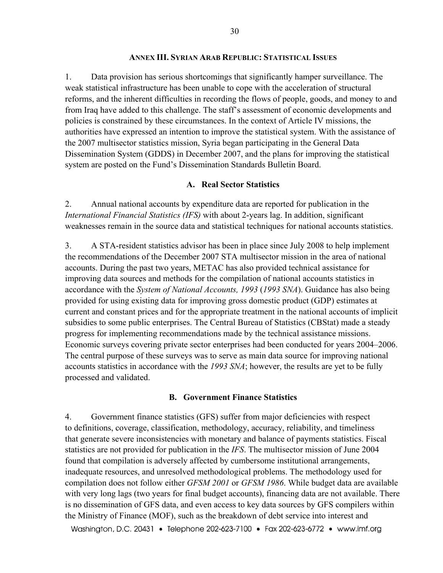#### **ANNEX III. SYRIAN ARAB REPUBLIC: STATISTICAL ISSUES**

1. Data provision has serious shortcomings that significantly hamper surveillance. The weak statistical infrastructure has been unable to cope with the acceleration of structural reforms, and the inherent difficulties in recording the flows of people, goods, and money to and from Iraq have added to this challenge. The staff's assessment of economic developments and policies is constrained by these circumstances. In the context of Article IV missions, the authorities have expressed an intention to improve the statistical system. With the assistance of the 2007 multisector statistics mission, Syria began participating in the General Data Dissemination System (GDDS) in December 2007, and the plans for improving the statistical system are posted on the Fund's Dissemination Standards Bulletin Board.

#### **A. Real Sector Statistics**

2. Annual national accounts by expenditure data are reported for publication in the *International Financial Statistics (IFS)* with about 2-years lag. In addition, significant weaknesses remain in the source data and statistical techniques for national accounts statistics.

3. A STA-resident statistics advisor has been in place since July 2008 to help implement the recommendations of the December 2007 STA multisector mission in the area of national accounts. During the past two years, METAC has also provided technical assistance for improving data sources and methods for the compilation of national accounts statistics in accordance with the *System of National Accounts, 1993* (*1993 SNA*). Guidance has also being provided for using existing data for improving gross domestic product (GDP) estimates at current and constant prices and for the appropriate treatment in the national accounts of implicit subsidies to some public enterprises. The Central Bureau of Statistics (CBStat) made a steady progress for implementing recommendations made by the technical assistance missions. Economic surveys covering private sector enterprises had been conducted for years 2004–2006. The central purpose of these surveys was to serve as main data source for improving national accounts statistics in accordance with the *1993 SNA*; however, the results are yet to be fully processed and validated.

#### **B. Government Finance Statistics**

4. Government finance statistics (GFS) suffer from major deficiencies with respect to definitions, coverage, classification, methodology, accuracy, reliability, and timeliness that generate severe inconsistencies with monetary and balance of payments statistics. Fiscal statistics are not provided for publication in the *IFS*. The multisector mission of June 2004 found that compilation is adversely affected by cumbersome institutional arrangements, inadequate resources, and unresolved methodological problems. The methodology used for compilation does not follow either *GFSM 2001* or *GFSM 1986*. While budget data are available with very long lags (two years for final budget accounts), financing data are not available. There is no dissemination of GFS data, and even access to key data sources by GFS compilers within the Ministry of Finance (MOF), such as the breakdown of debt service into interest and

Washington, D.C. 20431 • Telephone 202-623-7100 • Fax 202-623-6772 • www.imf.org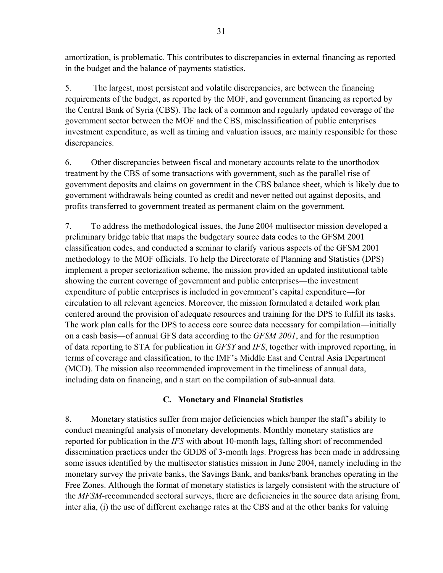amortization, is problematic. This contributes to discrepancies in external financing as reported in the budget and the balance of payments statistics.

5. The largest, most persistent and volatile discrepancies, are between the financing requirements of the budget, as reported by the MOF, and government financing as reported by the Central Bank of Syria (CBS). The lack of a common and regularly updated coverage of the government sector between the MOF and the CBS, misclassification of public enterprises investment expenditure, as well as timing and valuation issues, are mainly responsible for those discrepancies.

6. Other discrepancies between fiscal and monetary accounts relate to the unorthodox treatment by the CBS of some transactions with government, such as the parallel rise of government deposits and claims on government in the CBS balance sheet, which is likely due to government withdrawals being counted as credit and never netted out against deposits, and profits transferred to government treated as permanent claim on the government.

7. To address the methodological issues, the June 2004 multisector mission developed a preliminary bridge table that maps the budgetary source data codes to the GFSM 2001 classification codes, and conducted a seminar to clarify various aspects of the GFSM 2001 methodology to the MOF officials. To help the Directorate of Planning and Statistics (DPS) implement a proper sectorization scheme, the mission provided an updated institutional table showing the current coverage of government and public enterprises―the investment expenditure of public enterprises is included in government's capital expenditure―for circulation to all relevant agencies. Moreover, the mission formulated a detailed work plan centered around the provision of adequate resources and training for the DPS to fulfill its tasks. The work plan calls for the DPS to access core source data necessary for compilation—initially on a cash basis―of annual GFS data according to the *GFSM 2001*, and for the resumption of data reporting to STA for publication in *GFSY* and *IFS*, together with improved reporting, in terms of coverage and classification, to the IMF's Middle East and Central Asia Department (MCD). The mission also recommended improvement in the timeliness of annual data, including data on financing, and a start on the compilation of sub-annual data.

# **C. Monetary and Financial Statistics**

8. Monetary statistics suffer from major deficiencies which hamper the staff's ability to conduct meaningful analysis of monetary developments. Monthly monetary statistics are reported for publication in the *IFS* with about 10-month lags, falling short of recommended dissemination practices under the GDDS of 3-month lags. Progress has been made in addressing some issues identified by the multisector statistics mission in June 2004, namely including in the monetary survey the private banks, the Savings Bank, and banks/bank branches operating in the Free Zones. Although the format of monetary statistics is largely consistent with the structure of the *MFSM-*recommended sectoral surveys, there are deficiencies in the source data arising from, inter alia, (i) the use of different exchange rates at the CBS and at the other banks for valuing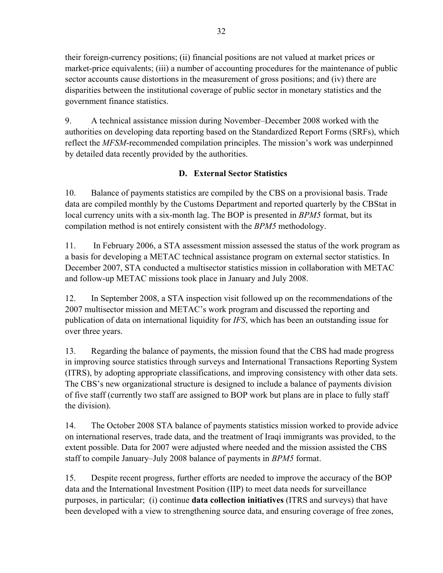their foreign-currency positions; (ii) financial positions are not valued at market prices or market-price equivalents; (iii) a number of accounting procedures for the maintenance of public sector accounts cause distortions in the measurement of gross positions; and (iv) there are disparities between the institutional coverage of public sector in monetary statistics and the government finance statistics.

9. A technical assistance mission during November–December 2008 worked with the authorities on developing data reporting based on the Standardized Report Forms (SRFs), which reflect the *MFSM*-recommended compilation principles. The mission's work was underpinned by detailed data recently provided by the authorities.

# **D. External Sector Statistics**

10. Balance of payments statistics are compiled by the CBS on a provisional basis. Trade data are compiled monthly by the Customs Department and reported quarterly by the CBStat in local currency units with a six-month lag. The BOP is presented in *BPM5* format, but its compilation method is not entirely consistent with the *BPM5* methodology.

11. In February 2006, a STA assessment mission assessed the status of the work program as a basis for developing a METAC technical assistance program on external sector statistics. In December 2007, STA conducted a multisector statistics mission in collaboration with METAC and follow-up METAC missions took place in January and July 2008.

12. In September 2008, a STA inspection visit followed up on the recommendations of the 2007 multisector mission and METAC's work program and discussed the reporting and publication of data on international liquidity for *IFS*, which has been an outstanding issue for over three years.

13. Regarding the balance of payments, the mission found that the CBS had made progress in improving source statistics through surveys and International Transactions Reporting System (ITRS), by adopting appropriate classifications, and improving consistency with other data sets. The CBS's new organizational structure is designed to include a balance of payments division of five staff (currently two staff are assigned to BOP work but plans are in place to fully staff the division).

14. The October 2008 STA balance of payments statistics mission worked to provide advice on international reserves, trade data, and the treatment of Iraqi immigrants was provided, to the extent possible. Data for 2007 were adjusted where needed and the mission assisted the CBS staff to compile January–July 2008 balance of payments in *BPM5* format.

15. Despite recent progress, further efforts are needed to improve the accuracy of the BOP data and the International Investment Position (IIP) to meet data needs for surveillance purposes, in particular; (i) continue **data collection initiatives** (ITRS and surveys) that have been developed with a view to strengthening source data, and ensuring coverage of free zones,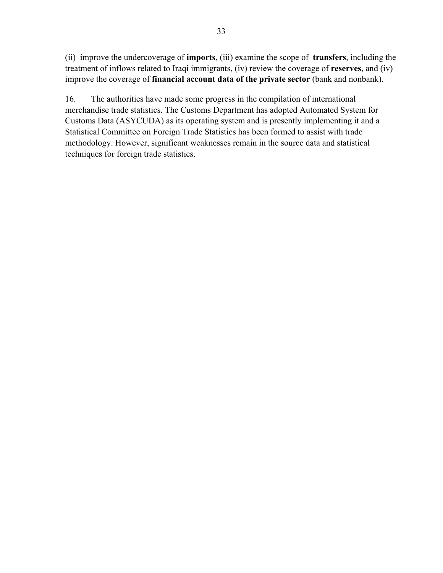(ii) improve the undercoverage of **imports**, (iii) examine the scope of **transfers**, including the treatment of inflows related to Iraqi immigrants, (iv) review the coverage of **reserves**, and (iv) improve the coverage of **financial account data of the private sector** (bank and nonbank).

16. The authorities have made some progress in the compilation of international merchandise trade statistics. The Customs Department has adopted Automated System for Customs Data (ASYCUDA) as its operating system and is presently implementing it and a Statistical Committee on Foreign Trade Statistics has been formed to assist with trade methodology. However, significant weaknesses remain in the source data and statistical techniques for foreign trade statistics.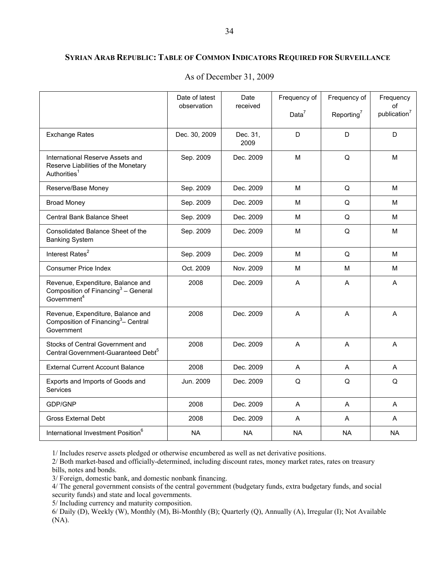#### **SYRIAN ARAB REPUBLIC: TABLE OF COMMON INDICATORS REQUIRED FOR SURVEILLANCE**

|                                                                                                                 | Date of latest<br>observation | Date<br>received | Frequency of<br>Data $7$ | Frequency of<br>Reporting <sup>7</sup> | Frequency<br>of<br>publication <sup>7</sup> |
|-----------------------------------------------------------------------------------------------------------------|-------------------------------|------------------|--------------------------|----------------------------------------|---------------------------------------------|
| <b>Exchange Rates</b>                                                                                           | Dec. 30, 2009                 | Dec. 31,<br>2009 | D                        | D                                      | D                                           |
| International Reserve Assets and<br>Reserve Liabilities of the Monetary<br>Authorities <sup>1</sup>             | Sep. 2009                     | Dec. 2009        | M                        | Q                                      | M                                           |
| Reserve/Base Money                                                                                              | Sep. 2009                     | Dec. 2009        | M                        | Q                                      | M                                           |
| <b>Broad Money</b>                                                                                              | Sep. 2009                     | Dec. 2009        | м                        | Q                                      | М                                           |
| <b>Central Bank Balance Sheet</b>                                                                               | Sep. 2009                     | Dec. 2009        | M                        | Q                                      | М                                           |
| Consolidated Balance Sheet of the<br><b>Banking System</b>                                                      | Sep. 2009                     | Dec. 2009        | M                        | Q                                      | M                                           |
| Interest Rates <sup>2</sup>                                                                                     | Sep. 2009                     | Dec. 2009        | м                        | Q                                      | M                                           |
| <b>Consumer Price Index</b>                                                                                     | Oct. 2009                     | Nov. 2009        | M                        | M                                      | М                                           |
| Revenue, Expenditure, Balance and<br>Composition of Financing <sup>3</sup> – General<br>Government <sup>4</sup> | 2008                          | Dec. 2009        | A                        | A                                      | A                                           |
| Revenue, Expenditure, Balance and<br>Composition of Financing <sup>3</sup> - Central<br>Government              | 2008                          | Dec. 2009        | A                        | A                                      | A                                           |
| Stocks of Central Government and<br>Central Government-Guaranteed Debt <sup>5</sup>                             | 2008                          | Dec. 2009        | A                        | A                                      | A                                           |
| <b>External Current Account Balance</b>                                                                         | 2008                          | Dec. 2009        | A                        | A                                      | A                                           |
| Exports and Imports of Goods and<br>Services                                                                    | Jun. 2009                     | Dec. 2009        | Q                        | Q                                      | Q                                           |
| GDP/GNP                                                                                                         | 2008                          | Dec. 2009        | A                        | A                                      | A                                           |
| <b>Gross External Debt</b>                                                                                      | 2008                          | Dec. 2009        | A                        | A                                      | A                                           |
| International Investment Position <sup>6</sup>                                                                  | <b>NA</b>                     | <b>NA</b>        | <b>NA</b>                | <b>NA</b>                              | <b>NA</b>                                   |

As of December 31, 2009

1/ Includes reserve assets pledged or otherwise encumbered as well as net derivative positions.

2/ Both market-based and officially-determined, including discount rates, money market rates, rates on treasury bills, notes and bonds.

3/ Foreign, domestic bank, and domestic nonbank financing.

4/ The general government consists of the central government (budgetary funds, extra budgetary funds, and social security funds) and state and local governments.

5/ Including currency and maturity composition.

6/ Daily (D), Weekly (W), Monthly (M), Bi-Monthly (B); Quarterly (Q), Annually (A), Irregular (I); Not Available (NA).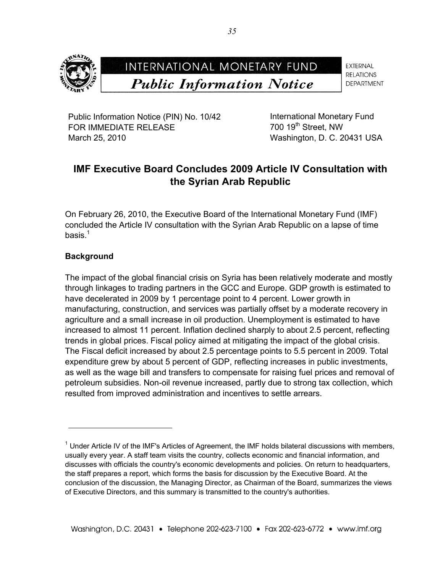

**EXTERNAL RELATIONS DEPARTMENT** 

Public Information Notice (PIN) No. 10/42 FOR IMMEDIATE RELEASE March 25, 2010

International Monetary Fund 700 19<sup>th</sup> Street, NW Washington, D. C. 20431 USA

# **IMF Executive Board Concludes 2009 Article IV Consultation with the Syrian Arab Republic**

On February 26, 2010, the Executive Board of the International Monetary Fund (IMF) concluded the Article IV consultation with the Syrian Arab Republic on a lapse of time basis. $1$ 

## **Background**

<u>.</u>

The impact of the global financial crisis on Syria has been relatively moderate and mostly through linkages to trading partners in the GCC and Europe. GDP growth is estimated to have decelerated in 2009 by 1 percentage point to 4 percent. Lower growth in manufacturing, construction, and services was partially offset by a moderate recovery in agriculture and a small increase in oil production. Unemployment is estimated to have increased to almost 11 percent. Inflation declined sharply to about 2.5 percent, reflecting trends in global prices. Fiscal policy aimed at mitigating the impact of the global crisis. The Fiscal deficit increased by about 2.5 percentage points to 5.5 percent in 2009. Total expenditure grew by about 5 percent of GDP, reflecting increases in public investments, as well as the wage bill and transfers to compensate for raising fuel prices and removal of petroleum subsidies. Non-oil revenue increased, partly due to strong tax collection, which resulted from improved administration and incentives to settle arrears.

<sup>&</sup>lt;sup>1</sup> Under Article IV of the IMF's Articles of Agreement, the IMF holds bilateral discussions with members, usually every year. A staff team visits the country, collects economic and financial information, and discusses with officials the country's economic developments and policies. On return to headquarters, the staff prepares a report, which forms the basis for discussion by the Executive Board. At the conclusion of the discussion, the Managing Director, as Chairman of the Board, summarizes the views of Executive Directors, and this summary is transmitted to the country's authorities.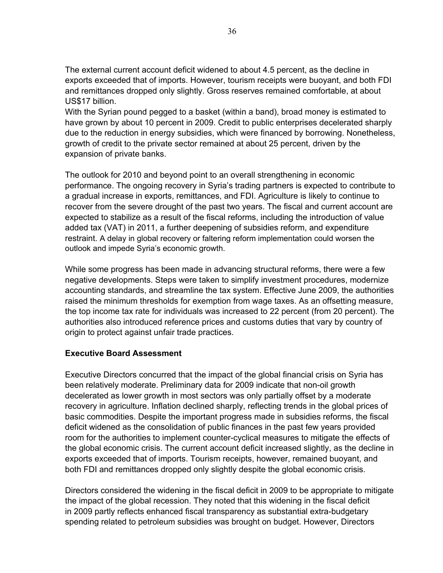The external current account deficit widened to about 4.5 percent, as the decline in exports exceeded that of imports. However, tourism receipts were buoyant, and both FDI and remittances dropped only slightly. Gross reserves remained comfortable, at about US\$17 billion.

With the Syrian pound pegged to a basket (within a band), broad money is estimated to have grown by about 10 percent in 2009. Credit to public enterprises decelerated sharply due to the reduction in energy subsidies, which were financed by borrowing. Nonetheless, growth of credit to the private sector remained at about 25 percent, driven by the expansion of private banks.

The outlook for 2010 and beyond point to an overall strengthening in economic performance. The ongoing recovery in Syria's trading partners is expected to contribute to a gradual increase in exports, remittances, and FDI. Agriculture is likely to continue to recover from the severe drought of the past two years. The fiscal and current account are expected to stabilize as a result of the fiscal reforms, including the introduction of value added tax (VAT) in 2011, a further deepening of subsidies reform, and expenditure restraint. A delay in global recovery or faltering reform implementation could worsen the outlook and impede Syria's economic growth.

While some progress has been made in advancing structural reforms, there were a few negative developments. Steps were taken to simplify investment procedures, modernize accounting standards, and streamline the tax system. Effective June 2009, the authorities raised the minimum thresholds for exemption from wage taxes. As an offsetting measure, the top income tax rate for individuals was increased to 22 percent (from 20 percent). The authorities also introduced reference prices and customs duties that vary by country of origin to protect against unfair trade practices.

## **Executive Board Assessment**

Executive Directors concurred that the impact of the global financial crisis on Syria has been relatively moderate. Preliminary data for 2009 indicate that non-oil growth decelerated as lower growth in most sectors was only partially offset by a moderate recovery in agriculture. Inflation declined sharply, reflecting trends in the global prices of basic commodities. Despite the important progress made in subsidies reforms, the fiscal deficit widened as the consolidation of public finances in the past few years provided room for the authorities to implement counter-cyclical measures to mitigate the effects of the global economic crisis. The current account deficit increased slightly, as the decline in exports exceeded that of imports. Tourism receipts, however, remained buoyant, and both FDI and remittances dropped only slightly despite the global economic crisis.

Directors considered the widening in the fiscal deficit in 2009 to be appropriate to mitigate the impact of the global recession. They noted that this widening in the fiscal deficit in 2009 partly reflects enhanced fiscal transparency as substantial extra-budgetary spending related to petroleum subsidies was brought on budget. However, Directors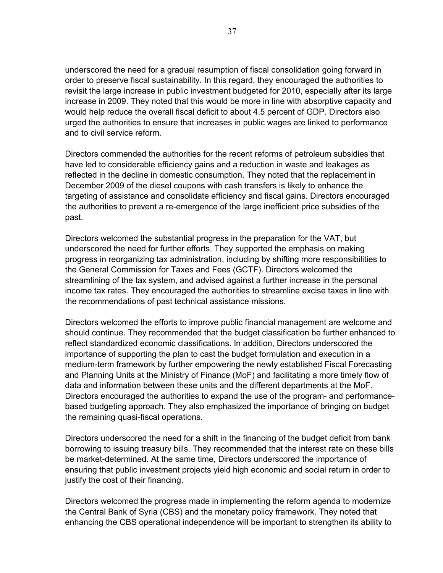underscored the need for a gradual resumption of fiscal consolidation going forward in order to preserve fiscal sustainability. In this regard, they encouraged the authorities to revisit the large increase in public investment budgeted for 2010, especially after its large increase in 2009. They noted that this would be more in line with absorptive capacity and would help reduce the overall fiscal deficit to about 4.5 percent of GDP. Directors also urged the authorities to ensure that increases in public wages are linked to performance and to civil service reform.

Directors commended the authorities for the recent reforms of petroleum subsidies that have led to considerable efficiency gains and a reduction in waste and leakages as reflected in the decline in domestic consumption. They noted that the replacement in December 2009 of the diesel coupons with cash transfers is likely to enhance the targeting of assistance and consolidate efficiency and fiscal gains. Directors encouraged the authorities to prevent a re-emergence of the large inefficient price subsidies of the past.

Directors welcomed the substantial progress in the preparation for the VAT, but underscored the need for further efforts. They supported the emphasis on making progress in reorganizing tax administration, including by shifting more responsibilities to the General Commission for Taxes and Fees (GCTF). Directors welcomed the streamlining of the tax system, and advised against a further increase in the personal income tax rates. They encouraged the authorities to streamline excise taxes in line with the recommendations of past technical assistance missions.

Directors welcomed the efforts to improve public financial management are welcome and should continue. They recommended that the budget classification be further enhanced to reflect standardized economic classifications. In addition, Directors underscored the importance of supporting the plan to cast the budget formulation and execution in a medium-term framework by further empowering the newly established Fiscal Forecasting and Planning Units at the Ministry of Finance (MoF) and facilitating a more timely flow of data and information between these units and the different departments at the MoF. Directors encouraged the authorities to expand the use of the program- and performancebased budgeting approach. They also emphasized the importance of bringing on budget the remaining quasi-fiscal operations.

Directors underscored the need for a shift in the financing of the budget deficit from bank borrowing to issuing treasury bills. They recommended that the interest rate on these bills be market-determined. At the same time, Directors underscored the importance of ensuring that public investment projects yield high economic and social return in order to justify the cost of their financing.

Directors welcomed the progress made in implementing the reform agenda to modernize the Central Bank of Syria (CBS) and the monetary policy framework. They noted that enhancing the CBS operational independence will be important to strengthen its ability to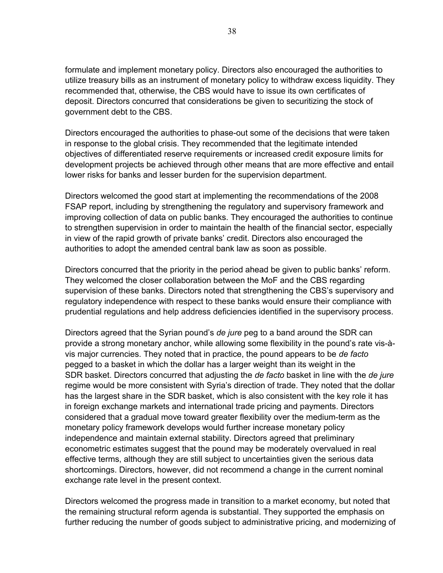formulate and implement monetary policy. Directors also encouraged the authorities to utilize treasury bills as an instrument of monetary policy to withdraw excess liquidity. They recommended that, otherwise, the CBS would have to issue its own certificates of deposit. Directors concurred that considerations be given to securitizing the stock of government debt to the CBS.

Directors encouraged the authorities to phase-out some of the decisions that were taken in response to the global crisis. They recommended that the legitimate intended objectives of differentiated reserve requirements or increased credit exposure limits for development projects be achieved through other means that are more effective and entail lower risks for banks and lesser burden for the supervision department.

Directors welcomed the good start at implementing the recommendations of the 2008 FSAP report, including by strengthening the regulatory and supervisory framework and improving collection of data on public banks. They encouraged the authorities to continue to strengthen supervision in order to maintain the health of the financial sector, especially in view of the rapid growth of private banks' credit. Directors also encouraged the authorities to adopt the amended central bank law as soon as possible.

Directors concurred that the priority in the period ahead be given to public banks' reform. They welcomed the closer collaboration between the MoF and the CBS regarding supervision of these banks. Directors noted that strengthening the CBS's supervisory and regulatory independence with respect to these banks would ensure their compliance with prudential regulations and help address deficiencies identified in the supervisory process.

Directors agreed that the Syrian pound's *de jure* peg to a band around the SDR can provide a strong monetary anchor, while allowing some flexibility in the pound's rate vis-àvis major currencies. They noted that in practice, the pound appears to be *de facto* pegged to a basket in which the dollar has a larger weight than its weight in the SDR basket. Directors concurred that adjusting the *de facto* basket in line with the *de jure* regime would be more consistent with Syria's direction of trade. They noted that the dollar has the largest share in the SDR basket, which is also consistent with the key role it has in foreign exchange markets and international trade pricing and payments. Directors considered that a gradual move toward greater flexibility over the medium-term as the monetary policy framework develops would further increase monetary policy independence and maintain external stability. Directors agreed that preliminary econometric estimates suggest that the pound may be moderately overvalued in real effective terms, although they are still subject to uncertainties given the serious data shortcomings. Directors, however, did not recommend a change in the current nominal exchange rate level in the present context.

Directors welcomed the progress made in transition to a market economy, but noted that the remaining structural reform agenda is substantial. They supported the emphasis on further reducing the number of goods subject to administrative pricing, and modernizing of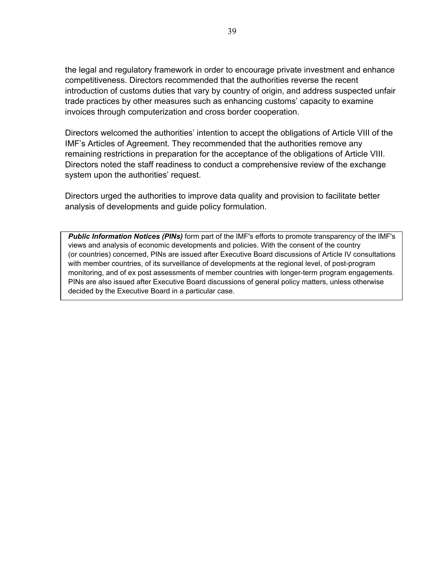the legal and regulatory framework in order to encourage private investment and enhance competitiveness. Directors recommended that the authorities reverse the recent introduction of customs duties that vary by country of origin, and address suspected unfair trade practices by other measures such as enhancing customs' capacity to examine invoices through computerization and cross border cooperation.

Directors welcomed the authorities' intention to accept the obligations of Article VIII of the IMF's Articles of Agreement. They recommended that the authorities remove any remaining restrictions in preparation for the acceptance of the obligations of Article VIII. Directors noted the staff readiness to conduct a comprehensive review of the exchange system upon the authorities' request.

Directors urged the authorities to improve data quality and provision to facilitate better analysis of developments and guide policy formulation.

*Public Information Notices (PINs)* form part of the IMF's efforts to promote transparency of the IMF's views and analysis of economic developments and policies. With the consent of the country (or countries) concerned, PINs are issued after Executive Board discussions of Article IV consultations with member countries, of its surveillance of developments at the regional level, of post-program monitoring, and of ex post assessments of member countries with longer-term program engagements. PINs are also issued after Executive Board discussions of general policy matters, unless otherwise decided by the Executive Board in a particular case.